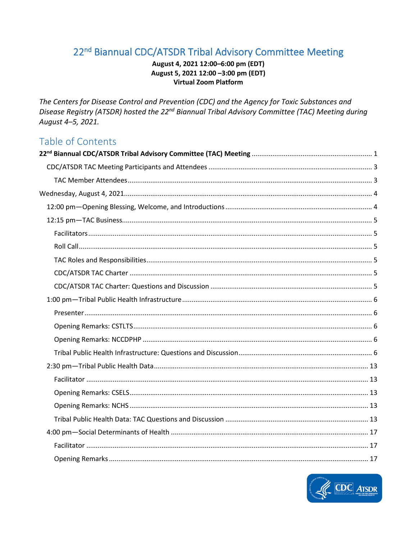# <span id="page-0-0"></span>22<sup>nd</sup> Biannual CDC/ATSDR Tribal Advisory Committee Meeting

### August 4, 2021 12:00-6:00 pm (EDT) August 5, 2021 12:00 -3:00 pm (EDT) **Virtual Zoom Platform**

The Centers for Disease Control and Prevention (CDC) and the Agency for Toxic Substances and Disease Registry (ATSDR) hosted the 22<sup>nd</sup> Biannual Tribal Advisory Committee (TAC) Meeting during August 4-5, 2021.

# Table of Contents

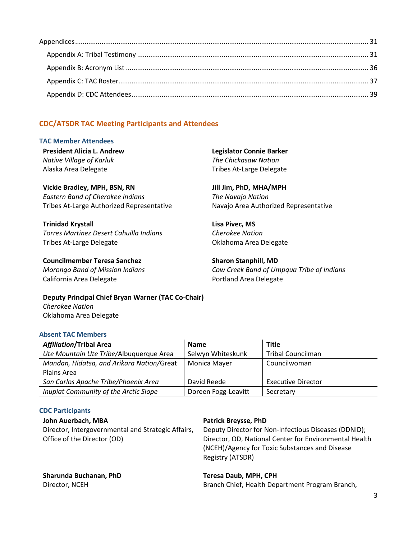# <span id="page-2-0"></span>**CDC/ATSDR TAC Meeting Participants and Attendees**

#### <span id="page-2-1"></span>**TAC Member Attendees**

| <b>President Alicia L. Andrew</b> | Legislator Connie Barker |
|-----------------------------------|--------------------------|
| Native Village of Karluk          | The Chickasaw Nation     |
| Alaska Area Delegate              | Tribes At-Large Delegate |

**Vickie Bradley, MPH, BSN, RN** *Eastern Band of Cherokee Indians* Tribes At-Large Authorized Representative

**Trinidad Krystall** *Torres Martinez Desert Cahuilla Indians* Tribes At-Large Delegate

**Councilmember Teresa Sanchez**  *Morongo Band of Mission Indians* California Area Delegate

**Jill Jim, PhD, MHA/MPH** *The Navajo Nation* Navajo Area Authorized Representative

**Lisa Pivec, MS** *Cherokee Nation* Oklahoma Area Delegate

**Sharon Stanphill, MD** *Cow Creek Band of Umpqua Tribe of Indians* Portland Area Delegate

**Deputy Principal Chief Bryan Warner (TAC Co-Chair)** *Cherokee Nation* Oklahoma Area Delegate

#### **Absent TAC Members**

| <b>Affiliation/Tribal Area</b>            | <b>Name</b>         | <b>Title</b>              |
|-------------------------------------------|---------------------|---------------------------|
| Ute Mountain Ute Tribe/Albuquerque Area   | Selwyn Whiteskunk   | Tribal Councilman         |
| Mandan, Hidatsa, and Arikara Nation/Great | Monica Mayer        | Councilwoman              |
| Plains Area                               |                     |                           |
| San Carlos Apache Tribe/Phoenix Area      | David Reede         | <b>Executive Director</b> |
| Inupiat Community of the Arctic Slope     | Doreen Fogg-Leavitt | Secretary                 |

#### **CDC Participants**

#### **John Auerbach, MBA**

Director, Intergovernmental and Strategic Affairs, Office of the Director (OD)

#### **Patrick Breysse, PhD**

Deputy Director for Non-Infectious Diseases (DDNID); Director, OD, National Center for Environmental Health (NCEH)/Agency for Toxic Substances and Disease Registry (ATSDR)

# **Sharunda Buchanan, PhD**

Director, NCEH

#### **Teresa Daub, MPH, CPH**

Branch Chief, Health Department Program Branch,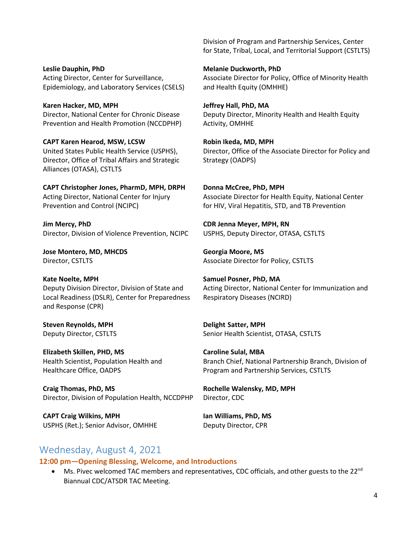**Leslie Dauphin, PhD** Acting Director, Center for Surveillance, Epidemiology, and Laboratory Services (CSELS)

**Karen Hacker, MD, MPH** Director, National Center for Chronic Disease Prevention and Health Promotion (NCCDPHP)

**CAPT Karen Hearod, MSW, LCSW** United States Public Health Service (USPHS), Director, Office of Tribal Affairs and Strategic Alliances (OTASA), CSTLTS

**CAPT Christopher Jones, PharmD, MPH, DRPH** Acting Director, National Center for Injury Prevention and Control (NCIPC)

**Jim Mercy, PhD** Director, Division of Violence Prevention, NCIPC

**Jose Montero, MD, MHCDS** Director, CSTLTS

**Kate Noelte, MPH** Deputy Division Director, Division of State and Local Readiness (DSLR), Center for Preparedness and Response (CPR)

**Steven Reynolds, MPH** Deputy Director, CSTLTS

**Elizabeth Skillen, PHD, MS** Health Scientist, Population Health and Healthcare Office, OADPS

**Craig Thomas, PhD, MS** Director, Division of Population Health, NCCDPHP

**CAPT Craig Wilkins, MPH**  USPHS (Ret.); Senior Advisor, OMHHE Division of Program and Partnership Services, Center for State, Tribal, Local, and Territorial Support (CSTLTS)

**Melanie Duckworth, PhD** Associate Director for Policy, Office of Minority Health and Health Equity (OMHHE)

**Jeffrey Hall, PhD, MA** Deputy Director, Minority Health and Health Equity Activity, OMHHE

**Robin Ikeda, MD, MPH** Director, Office of the Associate Director for Policy and Strategy (OADPS)

**Donna McCree, PhD, MPH** Associate Director for Health Equity, National Center for HIV, Viral Hepatitis, STD, and TB Prevention

**CDR Jenna Meyer, MPH, RN** USPHS, Deputy Director, OTASA, CSTLTS

**Georgia Moore, MS** Associate Director for Policy, CSTLTS

**Samuel Posner, PhD, MA** Acting Director, National Center for Immunization and Respiratory Diseases (NCIRD)

**Delight Satter, MPH** Senior Health Scientist, OTASA, CSTLTS

**Caroline Sulal, MBA** Branch Chief, National Partnership Branch, Division of Program and Partnership Services, CSTLTS

**Rochelle Walensky, MD, MPH** Director, CDC

**Ian Williams, PhD, MS** Deputy Director, CPR

# <span id="page-3-0"></span>Wednesday, August 4, 2021

<span id="page-3-1"></span>**12:00 pm—Opening Blessing, Welcome, and Introductions**

• Ms. Pivec welcomed TAC members and representatives, CDC officials, and other guests to the 22<sup>nd</sup> Biannual CDC/ATSDR TAC Meeting.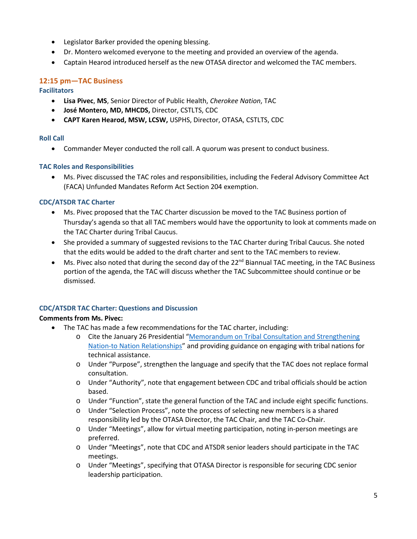- Legislator Barker provided the opening blessing.
- Dr. Montero welcomed everyone to the meeting and provided an overview of the agenda.
- Captain Hearod introduced herself as the new OTASA director and welcomed the TAC members.

# <span id="page-4-0"></span>**12:15 pm—TAC Business**

#### <span id="page-4-1"></span>**Facilitators**

- **Lisa Pivec**, **MS**, Senior Director of Public Health, *Cherokee Nation*, TAC
- **José Montero, MD, MHCDS,** Director, CSTLTS, CDC
- **CAPT Karen Hearod, MSW, LCSW,** USPHS, Director, OTASA, CSTLTS, CDC

### <span id="page-4-2"></span>**Roll Call**

• Commander Meyer conducted the roll call. A quorum was present to conduct business.

### <span id="page-4-3"></span>**TAC Roles and Responsibilities**

• Ms. Pivec discussed the TAC roles and responsibilities, including the Federal Advisory Committee Act (FACA) Unfunded Mandates Reform Act Section 204 exemption.

### <span id="page-4-4"></span>**CDC/ATSDR TAC Charter**

- Ms. Pivec proposed that the TAC Charter discussion be moved to the TAC Business portion of Thursday's agenda so that all TAC members would have the opportunity to look at comments made on the TAC Charter during Tribal Caucus.
- She provided a summary of suggested revisions to the TAC Charter during Tribal Caucus. She noted that the edits would be added to the draft charter and sent to the TAC members to review.
- Ms. Pivec also noted that during the second day of the  $22^{nd}$  Biannual TAC meeting, in the TAC Business portion of the agenda, the TAC will discuss whether the TAC Subcommittee should continue or be dismissed.

### <span id="page-4-5"></span>**CDC/ATSDR TAC Charter: Questions and Discussion**

### **Comments from Ms. Pivec:**

- The TAC has made a few recommendations for the TAC charter, including:
	- o Cite the January 26 Presidential ["Memorandum on Tribal Consultation and Strengthening](https://www.whitehouse.gov/briefing-room/presidential-actions/2021/01/26/memorandum-on-tribal-consultation-and-strengthening-nation-to-nation-relationships/)  [Nation-to Nation Relationships"](https://www.whitehouse.gov/briefing-room/presidential-actions/2021/01/26/memorandum-on-tribal-consultation-and-strengthening-nation-to-nation-relationships/) and providing guidance on engaging with tribal nations for technical assistance.
	- o Under "Purpose", strengthen the language and specify that the TAC does not replace formal consultation.
	- o Under "Authority", note that engagement between CDC and tribal officials should be action based.
	- o Under "Function", state the general function of the TAC and include eight specific functions.
	- o Under "Selection Process", note the process of selecting new members is a shared responsibility led by the OTASA Director, the TAC Chair, and the TAC Co-Chair.
	- o Under "Meetings", allow for virtual meeting participation, noting in-person meetings are preferred.
	- o Under "Meetings", note that CDC and ATSDR senior leaders should participate in the TAC meetings.
	- o Under "Meetings", specifying that OTASA Director is responsible for securing CDC senior leadership participation.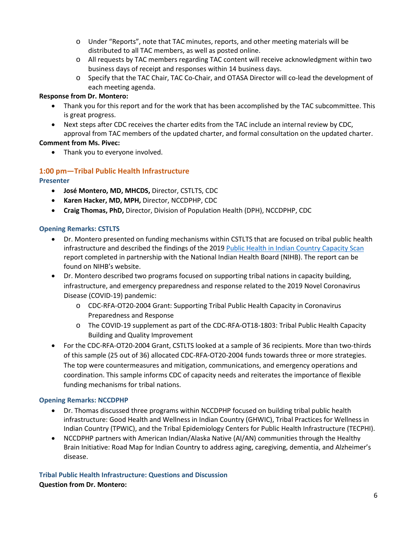- o Under "Reports", note that TAC minutes, reports, and other meeting materials will be distributed to all TAC members, as well as posted online.
- o All requests by TAC members regarding TAC content will receive acknowledgment within two business days of receipt and responses within 14 business days.
- o Specify that the TAC Chair, TAC Co-Chair, and OTASA Director will co-lead the development of each meeting agenda.

### **Response from Dr. Montero:**

- Thank you for this report and for the work that has been accomplished by the TAC subcommittee. This is great progress.
- Next steps after CDC receives the charter edits from the TAC include an internal review by CDC, approval from TAC members of the updated charter, and formal consultation on the updated charter.

### **Comment from Ms. Pivec:**

• Thank you to everyone involved.

# <span id="page-5-0"></span>**1:00 pm—Tribal Public Health Infrastructure**

### <span id="page-5-1"></span>**Presenter**

- **José Montero, MD, MHCDS,** Director, CSTLTS, CDC
- **Karen Hacker, MD, MPH,** Director, NCCDPHP, CDC
- **Craig Thomas, PhD,** Director, Division of Population Health (DPH), NCCDPHP, CDC

#### <span id="page-5-2"></span>**Opening Remarks: CSTLTS**

- Dr. Montero presented on funding mechanisms within CSTLTS that are focused on tribal public health infrastructure and described the findings of the 2019 [Public Health in Indian Country Capacity Scan](https://www.nihb.org/public_health/proj_phiccs.php) report completed in partnership with the National Indian Health Board (NIHB). The report can be found on NIHB's website.
- Dr. Montero described two programs focused on supporting tribal nations in capacity building, infrastructure, and emergency preparedness and response related to the 2019 Novel Coronavirus Disease (COVID-19) pandemic:
	- o CDC-RFA-OT20-2004 Grant: Supporting Tribal Public Health Capacity in Coronavirus Preparedness and Response
	- o The COVID-19 supplement as part of the CDC-RFA-OT18-1803: Tribal Public Health Capacity Building and Quality Improvement
- For the CDC-RFA-OT20-2004 Grant, CSTLTS looked at a sample of 36 recipients. More than two-thirds of this sample (25 out of 36) allocated CDC-RFA-OT20-2004 funds towards three or more strategies. The top were countermeasures and mitigation, communications, and emergency operations and coordination. This sample informs CDC of capacity needs and reiterates the importance of flexible funding mechanisms for tribal nations.

### <span id="page-5-3"></span>**Opening Remarks: NCCDPHP**

- Dr. Thomas discussed three programs within NCCDPHP focused on building tribal public health infrastructure: Good Health and Wellness in Indian Country (GHWIC), Tribal Practices for Wellness in Indian Country (TPWIC), and the Tribal Epidemiology Centers for Public Health Infrastructure (TECPHI).
- NCCDPHP partners with American Indian/Alaska Native (AI/AN) communities through the Healthy Brain Initiative: Road Map for Indian Country to address aging, caregiving, dementia, and Alzheimer's disease.

<span id="page-5-4"></span>**Tribal Public Health Infrastructure: Questions and Discussion Question from Dr. Montero:**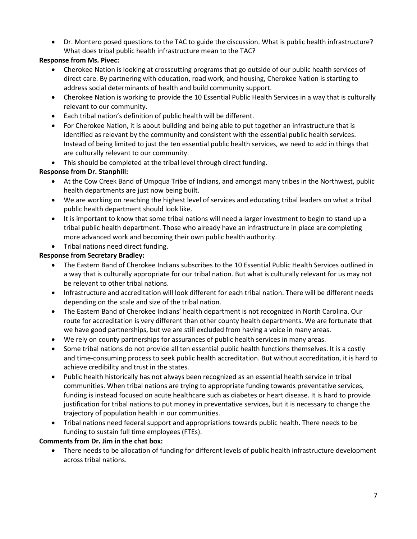• Dr. Montero posed questions to the TAC to guide the discussion. What is public health infrastructure? What does tribal public health infrastructure mean to the TAC?

# **Response from Ms. Pivec:**

- Cherokee Nation is looking at crosscutting programs that go outside of our public health services of direct care. By partnering with education, road work, and housing, Cherokee Nation is starting to address social determinants of health and build community support.
- Cherokee Nation is working to provide the 10 Essential Public Health Services in a way that is culturally relevant to our community.
- Each tribal nation's definition of public health will be different.
- For Cherokee Nation, it is about building and being able to put together an infrastructure that is identified as relevant by the community and consistent with the essential public health services. Instead of being limited to just the ten essential public health services, we need to add in things that are culturally relevant to our community.
- This should be completed at the tribal level through direct funding.

# **Response from Dr. Stanphill:**

- At the Cow Creek Band of Umpqua Tribe of Indians, and amongst many tribes in the Northwest, public health departments are just now being built.
- We are working on reaching the highest level of services and educating tribal leaders on what a tribal public health department should look like.
- It is important to know that some tribal nations will need a larger investment to begin to stand up a tribal public health department. Those who already have an infrastructure in place are completing more advanced work and becoming their own public health authority.
- Tribal nations need direct funding.

# **Response from Secretary Bradley:**

- The Eastern Band of Cherokee Indians subscribes to the 10 Essential Public Health Services outlined in a way that is culturally appropriate for our tribal nation. But what is culturally relevant for us may not be relevant to other tribal nations.
- Infrastructure and accreditation will look different for each tribal nation. There will be different needs depending on the scale and size of the tribal nation.
- The Eastern Band of Cherokee Indians' health department is not recognized in North Carolina. Our route for accreditation is very different than other county health departments. We are fortunate that we have good partnerships, but we are still excluded from having a voice in many areas.
- We rely on county partnerships for assurances of public health services in many areas.
- Some tribal nations do not provide all ten essential public health functions themselves. It is a costly and time-consuming process to seek public health accreditation. But without accreditation, it is hard to achieve credibility and trust in the states.
- Public health historically has not always been recognized as an essential health service in tribal communities. When tribal nations are trying to appropriate funding towards preventative services, funding is instead focused on acute healthcare such as diabetes or heart disease. It is hard to provide justification for tribal nations to put money in preventative services, but it is necessary to change the trajectory of population health in our communities.
- Tribal nations need federal support and appropriations towards public health. There needs to be funding to sustain full time employees (FTEs).

### **Comments from Dr. Jim in the chat box:**

• There needs to be allocation of funding for different levels of public health infrastructure development across tribal nations.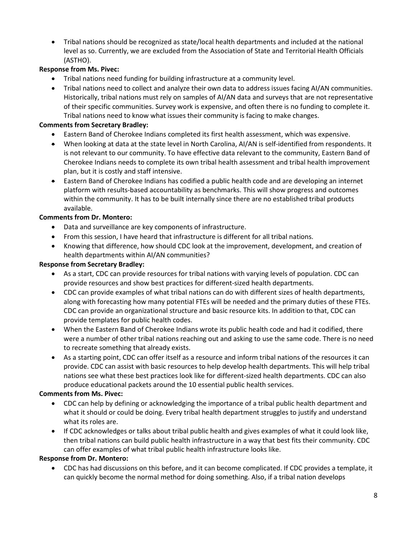• Tribal nations should be recognized as state/local health departments and included at the national level as so. Currently, we are excluded from the Association of State and Territorial Health Officials (ASTHO).

### **Response from Ms. Pivec:**

- Tribal nations need funding for building infrastructure at a community level.
- Tribal nations need to collect and analyze their own data to address issues facing AI/AN communities. Historically, tribal nations must rely on samples of AI/AN data and surveys that are not representative of their specific communities. Survey work is expensive, and often there is no funding to complete it. Tribal nations need to know what issues their community is facing to make changes.

#### **Comments from Secretary Bradley:**

- Eastern Band of Cherokee Indians completed its first health assessment, which was expensive.
- When looking at data at the state level in North Carolina, AI/AN is self-identified from respondents. It is not relevant to our community. To have effective data relevant to the community, Eastern Band of Cherokee Indians needs to complete its own tribal health assessment and tribal health improvement plan, but it is costly and staff intensive.
- Eastern Band of Cherokee Indians has codified a public health code and are developing an internet platform with results-based accountability as benchmarks. This will show progress and outcomes within the community. It has to be built internally since there are no established tribal products available.

#### **Comments from Dr. Montero:**

- Data and surveillance are key components of infrastructure.
- From this session, I have heard that infrastructure is different for all tribal nations.
- Knowing that difference, how should CDC look at the improvement, development, and creation of health departments within AI/AN communities?

#### **Response from Secretary Bradley:**

- As a start, CDC can provide resources for tribal nations with varying levels of population. CDC can provide resources and show best practices for different-sized health departments.
- CDC can provide examples of what tribal nations can do with different sizes of health departments, along with forecasting how many potential FTEs will be needed and the primary duties of these FTEs. CDC can provide an organizational structure and basic resource kits. In addition to that, CDC can provide templates for public health codes.
- When the Eastern Band of Cherokee Indians wrote its public health code and had it codified, there were a number of other tribal nations reaching out and asking to use the same code. There is no need to recreate something that already exists.
- As a starting point, CDC can offer itself as a resource and inform tribal nations of the resources it can provide. CDC can assist with basic resources to help develop health departments. This will help tribal nations see what these best practices look like for different-sized health departments. CDC can also produce educational packets around the 10 essential public health services.

#### **Comments from Ms. Pivec:**

- CDC can help by defining or acknowledging the importance of a tribal public health department and what it should or could be doing. Every tribal health department struggles to justify and understand what its roles are.
- If CDC acknowledges or talks about tribal public health and gives examples of what it could look like, then tribal nations can build public health infrastructure in a way that best fits their community. CDC can offer examples of what tribal public health infrastructure looks like.

#### **Response from Dr. Montero:**

• CDC has had discussions on this before, and it can become complicated. If CDC provides a template, it can quickly become the normal method for doing something. Also, if a tribal nation develops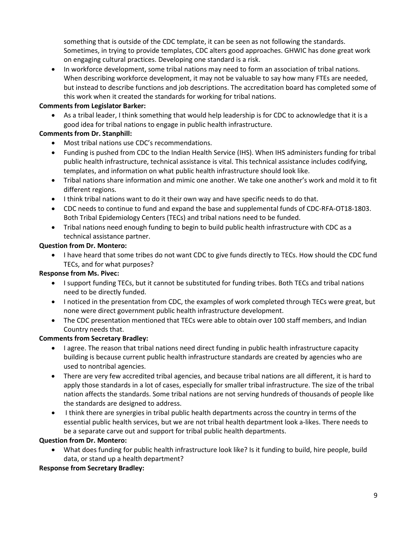something that is outside of the CDC template, it can be seen as not following the standards. Sometimes, in trying to provide templates, CDC alters good approaches. GHWIC has done great work on engaging cultural practices. Developing one standard is a risk.

• In workforce development, some tribal nations may need to form an association of tribal nations. When describing workforce development, it may not be valuable to say how many FTEs are needed, but instead to describe functions and job descriptions. The accreditation board has completed some of this work when it created the standards for working for tribal nations.

#### **Comments from Legislator Barker:**

As a tribal leader, I think something that would help leadership is for CDC to acknowledge that it is a good idea for tribal nations to engage in public health infrastructure.

### **Comments from Dr. Stanphill:**

- Most tribal nations use CDC's recommendations.
- Funding is pushed from CDC to the Indian Health Service (IHS). When IHS administers funding for tribal public health infrastructure, technical assistance is vital. This technical assistance includes codifying, templates, and information on what public health infrastructure should look like.
- Tribal nations share information and mimic one another. We take one another's work and mold it to fit different regions.
- I think tribal nations want to do it their own way and have specific needs to do that.
- CDC needs to continue to fund and expand the base and supplemental funds of CDC-RFA-OT18-1803. Both Tribal Epidemiology Centers (TECs) and tribal nations need to be funded.
- Tribal nations need enough funding to begin to build public health infrastructure with CDC as a technical assistance partner.

#### **Question from Dr. Montero:**

• I have heard that some tribes do not want CDC to give funds directly to TECs. How should the CDC fund TECs, and for what purposes?

### **Response from Ms. Pivec:**

- I support funding TECs, but it cannot be substituted for funding tribes. Both TECs and tribal nations need to be directly funded.
- I noticed in the presentation from CDC, the examples of work completed through TECs were great, but none were direct government public health infrastructure development.
- The CDC presentation mentioned that TECs were able to obtain over 100 staff members, and Indian Country needs that.

### **Comments from Secretary Bradley:**

- I agree. The reason that tribal nations need direct funding in public health infrastructure capacity building is because current public health infrastructure standards are created by agencies who are used to nontribal agencies.
- There are very few accredited tribal agencies, and because tribal nations are all different, it is hard to apply those standards in a lot of cases, especially for smaller tribal infrastructure. The size of the tribal nation affects the standards. Some tribal nations are not serving hundreds of thousands of people like the standards are designed to address.
- I think there are synergies in tribal public health departments across the country in terms of the essential public health services, but we are not tribal health department look a-likes. There needs to be a separate carve out and support for tribal public health departments.

### **Question from Dr. Montero:**

• What does funding for public health infrastructure look like? Is it funding to build, hire people, build data, or stand up a health department?

### **Response from Secretary Bradley:**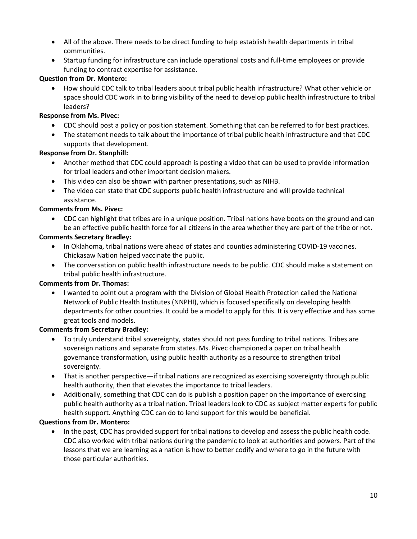- All of the above. There needs to be direct funding to help establish health departments in tribal communities.
- Startup funding for infrastructure can include operational costs and full-time employees or provide funding to contract expertise for assistance.

#### **Question from Dr. Montero:**

• How should CDC talk to tribal leaders about tribal public health infrastructure? What other vehicle or space should CDC work in to bring visibility of the need to develop public health infrastructure to tribal leaders?

#### **Response from Ms. Pivec:**

- CDC should post a policy or position statement. Something that can be referred to for best practices.
- The statement needs to talk about the importance of tribal public health infrastructure and that CDC supports that development.

#### **Response from Dr. Stanphill:**

- Another method that CDC could approach is posting a video that can be used to provide information for tribal leaders and other important decision makers.
- This video can also be shown with partner presentations, such as NIHB.
- The video can state that CDC supports public health infrastructure and will provide technical assistance.

#### **Comments from Ms. Pivec:**

• CDC can highlight that tribes are in a unique position. Tribal nations have boots on the ground and can be an effective public health force for all citizens in the area whether they are part of the tribe or not.

#### **Comments Secretary Bradley:**

- In Oklahoma, tribal nations were ahead of states and counties administering COVID-19 vaccines. Chickasaw Nation helped vaccinate the public.
- The conversation on public health infrastructure needs to be public. CDC should make a statement on tribal public health infrastructure.

#### **Comments from Dr. Thomas:**

• I wanted to point out a program with the Division of Global Health Protection called the National Network of Public Health Institutes (NNPHI), which is focused specifically on developing health departments for other countries. It could be a model to apply for this. It is very effective and has some great tools and models.

#### **Comments from Secretary Bradley:**

- To truly understand tribal sovereignty, states should not pass funding to tribal nations. Tribes are sovereign nations and separate from states. Ms. Pivec championed a paper on tribal health governance transformation, using public health authority as a resource to strengthen tribal sovereignty.
- That is another perspective—if tribal nations are recognized as exercising sovereignty through public health authority, then that elevates the importance to tribal leaders.
- Additionally, something that CDC can do is publish a position paper on the importance of exercising public health authority as a tribal nation. Tribal leaders look to CDC as subject matter experts for public health support. Anything CDC can do to lend support for this would be beneficial.

#### **Questions from Dr. Montero:**

• In the past, CDC has provided support for tribal nations to develop and assess the public health code. CDC also worked with tribal nations during the pandemic to look at authorities and powers. Part of the lessons that we are learning as a nation is how to better codify and where to go in the future with those particular authorities.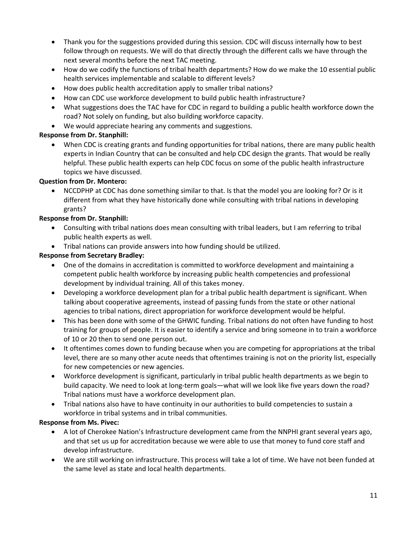- Thank you for the suggestions provided during this session. CDC will discuss internally how to best follow through on requests. We will do that directly through the different calls we have through the next several months before the next TAC meeting.
- How do we codify the functions of tribal health departments? How do we make the 10 essential public health services implementable and scalable to different levels?
- How does public health accreditation apply to smaller tribal nations?
- How can CDC use workforce development to build public health infrastructure?
- What suggestions does the TAC have for CDC in regard to building a public health workforce down the road? Not solely on funding, but also building workforce capacity.
- We would appreciate hearing any comments and suggestions.

### **Response from Dr. Stanphill:**

• When CDC is creating grants and funding opportunities for tribal nations, there are many public health experts in Indian Country that can be consulted and help CDC design the grants. That would be really helpful. These public health experts can help CDC focus on some of the public health infrastructure topics we have discussed.

# **Question from Dr. Montero:**

• NCCDPHP at CDC has done something similar to that. Is that the model you are looking for? Or is it different from what they have historically done while consulting with tribal nations in developing grants?

### **Response from Dr. Stanphill:**

- Consulting with tribal nations does mean consulting with tribal leaders, but I am referring to tribal public health experts as well.
- Tribal nations can provide answers into how funding should be utilized.

# **Response from Secretary Bradley:**

- One of the domains in accreditation is committed to workforce development and maintaining a competent public health workforce by increasing public health competencies and professional development by individual training. All of this takes money.
- Developing a workforce development plan for a tribal public health department is significant. When talking about cooperative agreements, instead of passing funds from the state or other national agencies to tribal nations, direct appropriation for workforce development would be helpful.
- This has been done with some of the GHWIC funding. Tribal nations do not often have funding to host training for groups of people. It is easier to identify a service and bring someone in to train a workforce of 10 or 20 then to send one person out.
- It oftentimes comes down to funding because when you are competing for appropriations at the tribal level, there are so many other acute needs that oftentimes training is not on the priority list, especially for new competencies or new agencies.
- Workforce development is significant, particularly in tribal public health departments as we begin to build capacity. We need to look at long-term goals—what will we look like five years down the road? Tribal nations must have a workforce development plan.
- Tribal nations also have to have continuity in our authorities to build competencies to sustain a workforce in tribal systems and in tribal communities.

### **Response from Ms. Pivec:**

- A lot of Cherokee Nation's Infrastructure development came from the NNPHI grant several years ago, and that set us up for accreditation because we were able to use that money to fund core staff and develop infrastructure.
- We are still working on infrastructure. This process will take a lot of time. We have not been funded at the same level as state and local health departments.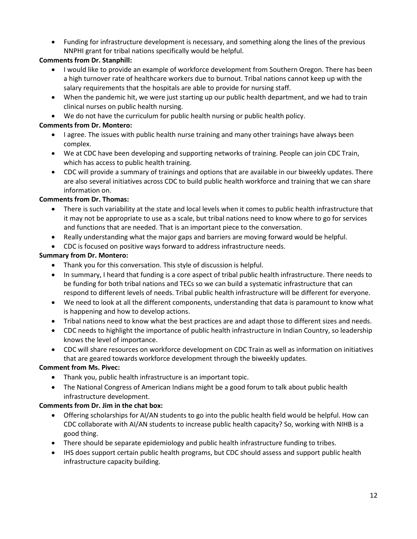• Funding for infrastructure development is necessary, and something along the lines of the previous NNPHI grant for tribal nations specifically would be helpful.

# **Comments from Dr. Stanphill:**

- I would like to provide an example of workforce development from Southern Oregon. There has been a high turnover rate of healthcare workers due to burnout. Tribal nations cannot keep up with the salary requirements that the hospitals are able to provide for nursing staff.
- When the pandemic hit, we were just starting up our public health department, and we had to train clinical nurses on public health nursing.
- We do not have the curriculum for public health nursing or public health policy.

# **Comments from Dr. Montero:**

- I agree. The issues with public health nurse training and many other trainings have always been complex.
- We at CDC have been developing and supporting networks of training. People can join CDC Train, which has access to public health training.
- CDC will provide a summary of trainings and options that are available in our biweekly updates. There are also several initiatives across CDC to build public health workforce and training that we can share information on.

### **Comments from Dr. Thomas:**

- There is such variability at the state and local levels when it comes to public health infrastructure that it may not be appropriate to use as a scale, but tribal nations need to know where to go for services and functions that are needed. That is an important piece to the conversation.
- Really understanding what the major gaps and barriers are moving forward would be helpful.
- CDC is focused on positive ways forward to address infrastructure needs.

# **Summary from Dr. Montero:**

- Thank you for this conversation. This style of discussion is helpful.
- In summary, I heard that funding is a core aspect of tribal public health infrastructure. There needs to be funding for both tribal nations and TECs so we can build a systematic infrastructure that can respond to different levels of needs. Tribal public health infrastructure will be different for everyone.
- We need to look at all the different components, understanding that data is paramount to know what is happening and how to develop actions.
- Tribal nations need to know what the best practices are and adapt those to different sizes and needs.
- CDC needs to highlight the importance of public health infrastructure in Indian Country, so leadership knows the level of importance.
- CDC will share resources on workforce development on CDC Train as well as information on initiatives that are geared towards workforce development through the biweekly updates.

# **Comment from Ms. Pivec:**

- Thank you, public health infrastructure is an important topic.
- The National Congress of American Indians might be a good forum to talk about public health infrastructure development.

### **Comments from Dr. Jim in the chat box:**

- Offering scholarships for AI/AN students to go into the public health field would be helpful. How can CDC collaborate with AI/AN students to increase public health capacity? So, working with NIHB is a good thing.
- There should be separate epidemiology and public health infrastructure funding to tribes.
- IHS does support certain public health programs, but CDC should assess and support public health infrastructure capacity building.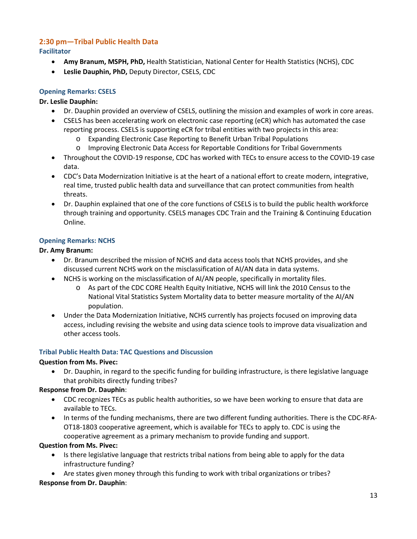#### <span id="page-12-1"></span><span id="page-12-0"></span>**2:30 pm—Tribal Public Health Data Facilitator**

- **Amy Branum, MSPH, PhD,** Health Statistician, National Center for Health Statistics (NCHS), CDC
- **Leslie Dauphin, PhD,** Deputy Director, CSELS, CDC

# <span id="page-12-2"></span>**Opening Remarks: CSELS**

#### **Dr. Leslie Dauphin:**

- Dr. Dauphin provided an overview of CSELS, outlining the mission and examples of work in core areas.
- CSELS has been accelerating work on electronic case reporting (eCR) which has automated the case reporting process. CSELS is supporting eCR for tribal entities with two projects in this area:
	- o Expanding Electronic Case Reporting to Benefit Urban Tribal Populations
	- o Improving Electronic Data Access for Reportable Conditions for Tribal Governments
- Throughout the COVID-19 response, CDC has worked with TECs to ensure access to the COVID-19 case data.
- CDC's Data Modernization Initiative is at the heart of a national effort to create modern, integrative, real time, trusted public health data and surveillance that can protect communities from health threats.
- Dr. Dauphin explained that one of the core functions of CSELS is to build the public health workforce through training and opportunity. CSELS manages CDC Train and the Training & Continuing Education Online.

#### <span id="page-12-3"></span>**Opening Remarks: NCHS**

#### **Dr. Amy Branum:**

- Dr. Branum described the mission of NCHS and data access tools that NCHS provides, and she discussed current NCHS work on the misclassification of AI/AN data in data systems.
- NCHS is working on the misclassification of AI/AN people, specifically in mortality files.
	- o As part of the CDC CORE Health Equity Initiative, NCHS will link the 2010 Census to the National Vital Statistics System Mortality data to better measure mortality of the AI/AN population.
- Under the Data Modernization Initiative, NCHS currently has projects focused on improving data access, including revising the website and using data science tools to improve data visualization and other access tools.

#### <span id="page-12-4"></span>**Tribal Public Health Data: TAC Questions and Discussion**

#### **Question from Ms. Pivec:**

• Dr. Dauphin, in regard to the specific funding for building infrastructure, is there legislative language that prohibits directly funding tribes?

### **Response from Dr. Dauphin**:

- CDC recognizes TECs as public health authorities, so we have been working to ensure that data are available to TECs.
- In terms of the funding mechanisms, there are two different funding authorities. There is the CDC-RFA-OT18-1803 cooperative agreement, which is available for TECs to apply to. CDC is using the cooperative agreement as a primary mechanism to provide funding and support.

#### **Question from Ms. Pivec:**

- Is there legislative language that restricts tribal nations from being able to apply for the data infrastructure funding?
- Are states given money through this funding to work with tribal organizations or tribes?

#### **Response from Dr. Dauphin**: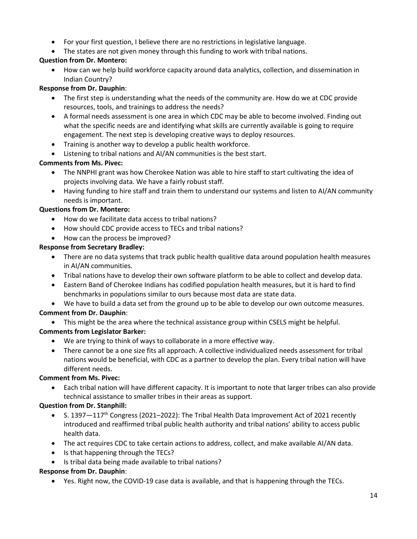- For your first question, I believe there are no restrictions in legislative language.
- The states are not given money through this funding to work with tribal nations.

# **Question from Dr. Montero:**

• How can we help build workforce capacity around data analytics, collection, and dissemination in Indian Country?

### **Response from Dr. Dauphin**:

- The first step is understanding what the needs of the community are. How do we at CDC provide resources, tools, and trainings to address the needs?
- A formal needs assessment is one area in which CDC may be able to become involved. Finding out what the specific needs are and identifying what skills are currently available is going to require engagement. The next step is developing creative ways to deploy resources.
- Training is another way to develop a public health workforce.
- Listening to tribal nations and AI/AN communities is the best start.

# **Comments from Ms. Pivec:**

- The NNPHI grant was how Cherokee Nation was able to hire staff to start cultivating the idea of projects involving data. We have a fairly robust staff.
- Having funding to hire staff and train them to understand our systems and listen to AI/AN community needs is important.

# **Questions from Dr. Montero:**

- How do we facilitate data access to tribal nations?
- How should CDC provide access to TECs and tribal nations?
- How can the process be improved?

# **Response from Secretary Bradley:**

- There are no data systems that track public health qualitive data around population health measures in AI/AN communities.
- Tribal nations have to develop their own software platform to be able to collect and develop data.
- Eastern Band of Cherokee Indians has codified population health measures, but it is hard to find benchmarks in populations similar to ours because most data are state data.
- We have to build a data set from the ground up to be able to develop our own outcome measures.

# **Comment from Dr. Dauphin**:

• This might be the area where the technical assistance group within CSELS might be helpful.

# **Comments from Legislator Barker:**

- We are trying to think of ways to collaborate in a more effective way.
- There cannot be a one size fits all approach. A collective individualized needs assessment for tribal nations would be beneficial, with CDC as a partner to develop the plan. Every tribal nation will have different needs.

### **Comment from Ms. Pivec:**

• Each tribal nation will have different capacity. It is important to note that larger tribes can also provide technical assistance to smaller tribes in their areas as support.

### **Question from Dr. Stanphill:**

- S. 1397 $-117$ <sup>th</sup> Congress (2021–2022): The Tribal Health Data Improvement Act of 2021 recently introduced and reaffirmed tribal public health authority and tribal nations' ability to access public health data.
- The act requires CDC to take certain actions to address, collect, and make available AI/AN data.
- Is that happening through the TECs?
- Is tribal data being made available to tribal nations?

### **Response from Dr. Dauphin**:

• Yes. Right now, the COVID-19 case data is available, and that is happening through the TECs.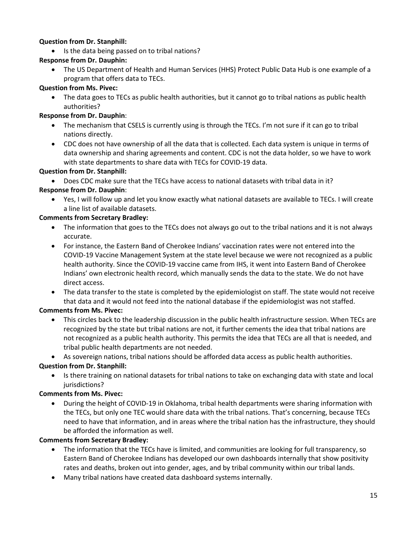### **Question from Dr. Stanphill:**

• Is the data being passed on to tribal nations?

# **Response from Dr. Dauphin:**

• The US Department of Health and Human Services (HHS) Protect Public Data Hub is one example of a program that offers data to TECs.

### **Question from Ms. Pivec:**

• The data goes to TECs as public health authorities, but it cannot go to tribal nations as public health authorities?

# **Response from Dr. Dauphin**:

- The mechanism that CSELS is currently using is through the TECs. I'm not sure if it can go to tribal nations directly.
- CDC does not have ownership of all the data that is collected. Each data system is unique in terms of data ownership and sharing agreements and content. CDC is not the data holder, so we have to work with state departments to share data with TECs for COVID-19 data.

# **Question from Dr. Stanphill:**

• Does CDC make sure that the TECs have access to national datasets with tribal data in it?

# **Response from Dr. Dauphin**:

• Yes, I will follow up and let you know exactly what national datasets are available to TECs. I will create a line list of available datasets.

# **Comments from Secretary Bradley:**

- The information that goes to the TECs does not always go out to the tribal nations and it is not always accurate.
- For instance, the Eastern Band of Cherokee Indians' vaccination rates were not entered into the COVID-19 Vaccine Management System at the state level because we were not recognized as a public health authority. Since the COVID-19 vaccine came from IHS, it went into Eastern Band of Cherokee Indians' own electronic health record, which manually sends the data to the state. We do not have direct access.
- The data transfer to the state is completed by the epidemiologist on staff. The state would not receive that data and it would not feed into the national database if the epidemiologist was not staffed.

# **Comments from Ms. Pivec:**

- This circles back to the leadership discussion in the public health infrastructure session. When TECs are recognized by the state but tribal nations are not, it further cements the idea that tribal nations are not recognized as a public health authority. This permits the idea that TECs are all that is needed, and tribal public health departments are not needed.
- As sovereign nations, tribal nations should be afforded data access as public health authorities.

# **Question from Dr. Stanphill:**

• Is there training on national datasets for tribal nations to take on exchanging data with state and local iurisdictions?

### **Comments from Ms. Pivec:**

• During the height of COVID-19 in Oklahoma, tribal health departments were sharing information with the TECs, but only one TEC would share data with the tribal nations. That's concerning, because TECs need to have that information, and in areas where the tribal nation has the infrastructure, they should be afforded the information as well.

### **Comments from Secretary Bradley:**

- The information that the TECs have is limited, and communities are looking for full transparency, so Eastern Band of Cherokee Indians has developed our own dashboards internally that show positivity rates and deaths, broken out into gender, ages, and by tribal community within our tribal lands.
- Many tribal nations have created data dashboard systems internally.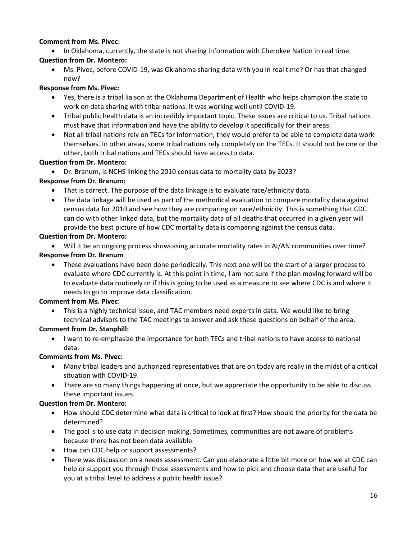#### **Comment from Ms. Pivec:**

• In Oklahoma, currently, the state is not sharing information with Cherokee Nation in real time.

### **Question from Dr. Montero:**

• Ms. Pivec, before COVID-19, was Oklahoma sharing data with you in real time? Or has that changed now?

### **Response from Ms. Pivec:**

- Yes, there is a tribal liaison at the Oklahoma Department of Health who helps champion the state to work on data sharing with tribal nations. It was working well until COVID-19.
- Tribal public health data is an incredibly important topic. These issues are critical to us. Tribal nations must have that information and have the ability to develop it specifically for their areas.
- Not all tribal nations rely on TECs for information; they would prefer to be able to complete data work themselves. In other areas, some tribal nations rely completely on the TECs. It should not be one or the other, both tribal nations and TECs should have access to data.

# **Question from Dr. Montero:**

• Dr. Branum, is NCHS linking the 2010 census data to mortality data by 2023?

# **Response from Dr. Branum:**

- That is correct. The purpose of the data linkage is to evaluate race/ethnicity data.
- The data linkage will be used as part of the methodical evaluation to compare mortality data against census data for 2010 and see how they are comparing on race/ethnicity. This is something that CDC can do with other linked data, but the mortality data of all deaths that occurred in a given year will provide the best picture of how CDC mortality data is comparing against the census data.

# **Question from Dr. Montero:**

• Will it be an ongoing process showcasing accurate mortality rates in AI/AN communities over time?

# **Response from Dr. Branum**

• These evaluations have been done periodically. This next one will be the start of a larger process to evaluate where CDC currently is. At this point in time, I am not sure if the plan moving forward will be to evaluate data routinely or if this is going to be used as a measure to see where CDC is and where it needs to go to improve data classification.

# **Comment from Ms. Pivec**:

• This is a highly technical issue, and TAC members need experts in data. We would like to bring technical advisors to the TAC meetings to answer and ask these questions on behalf of the area.

# **Comment from Dr. Stanphill:**

• I want to re-emphasize the importance for both TECs and tribal nations to have access to national data.

# **Comments from Ms. Pivec:**

- Many tribal leaders and authorized representatives that are on today are really in the midst of a critical situation with COVID-19.
- There are so many things happening at once, but we appreciate the opportunity to be able to discuss these important issues.

# **Question from Dr. Montero:**

- How should CDC determine what data is critical to look at first? How should the priority for the data be determined?
- The goal is to use data in decision making. Sometimes, communities are not aware of problems because there has not been data available.
- How can CDC help or support assessments?
- There was discussion on a needs assessment. Can you elaborate a little bit more on how we at CDC can help or support you through those assessments and how to pick and choose data that are useful for you at a tribal level to address a public health issue?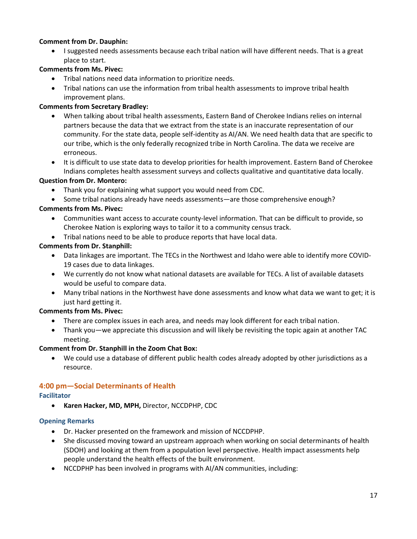### **Comment from Dr. Dauphin:**

• I suggested needs assessments because each tribal nation will have different needs. That is a great place to start.

### **Comments from Ms. Pivec:**

- Tribal nations need data information to prioritize needs.
- Tribal nations can use the information from tribal health assessments to improve tribal health improvement plans.

### **Comments from Secretary Bradley:**

- When talking about tribal health assessments, Eastern Band of Cherokee Indians relies on internal partners because the data that we extract from the state is an inaccurate representation of our community. For the state data, people self-identity as AI/AN. We need health data that are specific to our tribe, which is the only federally recognized tribe in North Carolina. The data we receive are erroneous.
- It is difficult to use state data to develop priorities for health improvement. Eastern Band of Cherokee Indians completes health assessment surveys and collects qualitative and quantitative data locally.

#### **Question from Dr. Montero:**

- Thank you for explaining what support you would need from CDC.
- Some tribal nations already have needs assessments—are those comprehensive enough?

#### **Comments from Ms. Pivec:**

- Communities want access to accurate county-level information. That can be difficult to provide, so Cherokee Nation is exploring ways to tailor it to a community census track.
- Tribal nations need to be able to produce reports that have local data.

#### **Comments from Dr. Stanphill:**

- Data linkages are important. The TECs in the Northwest and Idaho were able to identify more COVID-19 cases due to data linkages.
- We currently do not know what national datasets are available for TECs. A list of available datasets would be useful to compare data.
- Many tribal nations in the Northwest have done assessments and know what data we want to get; it is just hard getting it.

### **Comments from Ms. Pivec:**

- There are complex issues in each area, and needs may look different for each tribal nation.
- Thank you—we appreciate this discussion and will likely be revisiting the topic again at another TAC meeting.

#### **Comment from Dr. Stanphill in the Zoom Chat Box:**

• We could use a database of different public health codes already adopted by other jurisdictions as a resource.

### <span id="page-16-0"></span>**4:00 pm—Social Determinants of Health**

### <span id="page-16-1"></span>**Facilitator**

• **Karen Hacker, MD, MPH,** Director, NCCDPHP, CDC

### <span id="page-16-2"></span>**Opening Remarks**

- Dr. Hacker presented on the framework and mission of NCCDPHP.
- She discussed moving toward an upstream approach when working on social determinants of health (SDOH) and looking at them from a population level perspective. Health impact assessments help people understand the health effects of the built environment.
- NCCDPHP has been involved in programs with AI/AN communities, including: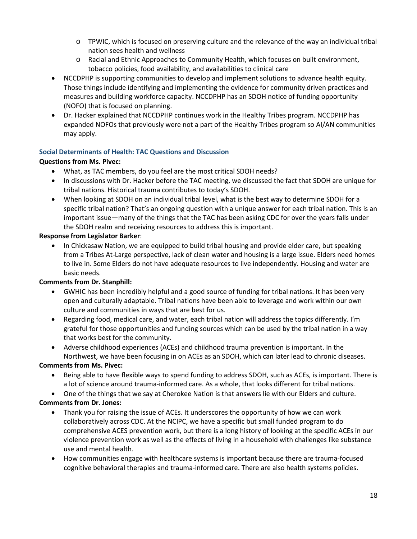- o TPWIC, which is focused on preserving culture and the relevance of the way an individual tribal nation sees health and wellness
- o Racial and Ethnic Approaches to Community Health, which focuses on built environment, tobacco policies, food availability, and availabilities to clinical care
- NCCDPHP is supporting communities to develop and implement solutions to advance health equity. Those things include identifying and implementing the evidence for community driven practices and measures and building workforce capacity. NCCDPHP has an SDOH notice of funding opportunity (NOFO) that is focused on planning.
- Dr. Hacker explained that NCCDPHP continues work in the Healthy Tribes program. NCCDPHP has expanded NOFOs that previously were not a part of the Healthy Tribes program so AI/AN communities may apply.

# <span id="page-17-0"></span>**Social Determinants of Health: TAC Questions and Discussion**

### **Questions from Ms. Pivec:**

- What, as TAC members, do you feel are the most critical SDOH needs?
- In discussions with Dr. Hacker before the TAC meeting, we discussed the fact that SDOH are unique for tribal nations. Historical trauma contributes to today's SDOH.
- When looking at SDOH on an individual tribal level, what is the best way to determine SDOH for a specific tribal nation? That's an ongoing question with a unique answer for each tribal nation. This is an important issue—many of the things that the TAC has been asking CDC for over the years falls under the SDOH realm and receiving resources to address this is important.

### **Response from Legislator Barker**:

• In Chickasaw Nation, we are equipped to build tribal housing and provide elder care, but speaking from a Tribes At-Large perspective, lack of clean water and housing is a large issue. Elders need homes to live in. Some Elders do not have adequate resources to live independently. Housing and water are basic needs.

# **Comments from Dr. Stanphill:**

- GWHIC has been incredibly helpful and a good source of funding for tribal nations. It has been very open and culturally adaptable. Tribal nations have been able to leverage and work within our own culture and communities in ways that are best for us.
- Regarding food, medical care, and water, each tribal nation will address the topics differently. I'm grateful for those opportunities and funding sources which can be used by the tribal nation in a way that works best for the community.
- Adverse childhood experiences (ACEs) and childhood trauma prevention is important. In the Northwest, we have been focusing in on ACEs as an SDOH, which can later lead to chronic diseases.

# **Comments from Ms. Pivec:**

- Being able to have flexible ways to spend funding to address SDOH, such as ACEs, is important. There is a lot of science around trauma-informed care. As a whole, that looks different for tribal nations.
- One of the things that we say at Cherokee Nation is that answers lie with our Elders and culture.

# **Comments from Dr. Jones:**

- Thank you for raising the issue of ACEs. It underscores the opportunity of how we can work collaboratively across CDC. At the NCIPC, we have a specific but small funded program to do comprehensive ACES prevention work, but there is a long history of looking at the specific ACEs in our violence prevention work as well as the effects of living in a household with challenges like substance use and mental health.
- How communities engage with healthcare systems is important because there are trauma-focused cognitive behavioral therapies and trauma-informed care. There are also health systems policies.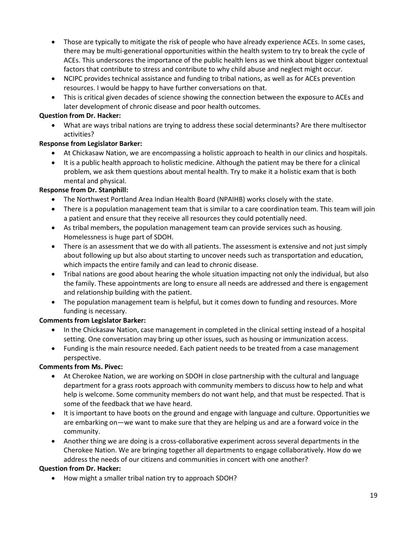- Those are typically to mitigate the risk of people who have already experience ACEs. In some cases, there may be multi-generational opportunities within the health system to try to break the cycle of ACEs. This underscores the importance of the public health lens as we think about bigger contextual factors that contribute to stress and contribute to why child abuse and neglect might occur.
- NCIPC provides technical assistance and funding to tribal nations, as well as for ACEs prevention resources. I would be happy to have further conversations on that.
- This is critical given decades of science showing the connection between the exposure to ACEs and later development of chronic disease and poor health outcomes.

### **Question from Dr. Hacker:**

• What are ways tribal nations are trying to address these social determinants? Are there multisector activities?

# **Response from Legislator Barker:**

- At Chickasaw Nation, we are encompassing a holistic approach to health in our clinics and hospitals.
- It is a public health approach to holistic medicine. Although the patient may be there for a clinical problem, we ask them questions about mental health. Try to make it a holistic exam that is both mental and physical.

# **Response from Dr. Stanphill:**

- The Northwest Portland Area Indian Health Board (NPAIHB) works closely with the state.
- There is a population management team that is similar to a care coordination team. This team will join a patient and ensure that they receive all resources they could potentially need.
- As tribal members, the population management team can provide services such as housing. Homelessness is huge part of SDOH.
- There is an assessment that we do with all patients. The assessment is extensive and not just simply about following up but also about starting to uncover needs such as transportation and education, which impacts the entire family and can lead to chronic disease.
- Tribal nations are good about hearing the whole situation impacting not only the individual, but also the family. These appointments are long to ensure all needs are addressed and there is engagement and relationship building with the patient.
- The population management team is helpful, but it comes down to funding and resources. More funding is necessary.

# **Comments from Legislator Barker:**

- In the Chickasaw Nation, case management in completed in the clinical setting instead of a hospital setting. One conversation may bring up other issues, such as housing or immunization access.
- Funding is the main resource needed. Each patient needs to be treated from a case management perspective.

# **Comments from Ms. Pivec:**

- At Cherokee Nation, we are working on SDOH in close partnership with the cultural and language department for a grass roots approach with community members to discuss how to help and what help is welcome. Some community members do not want help, and that must be respected. That is some of the feedback that we have heard.
- It is important to have boots on the ground and engage with language and culture. Opportunities we are embarking on—we want to make sure that they are helping us and are a forward voice in the community.
- Another thing we are doing is a cross-collaborative experiment across several departments in the Cherokee Nation. We are bringing together all departments to engage collaboratively. How do we address the needs of our citizens and communities in concert with one another?

### **Question from Dr. Hacker:**

• How might a smaller tribal nation try to approach SDOH?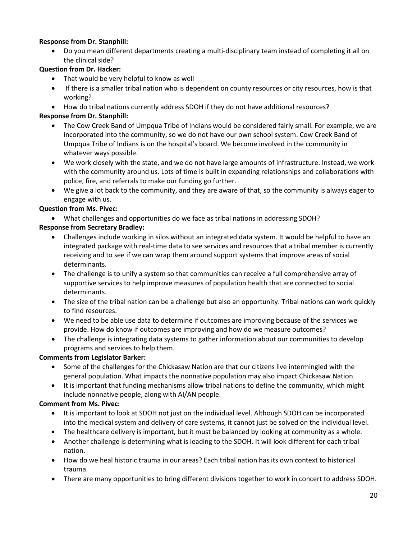### **Response from Dr. Stanphill:**

• Do you mean different departments creating a multi-disciplinary team instead of completing it all on the clinical side?

# **Question from Dr. Hacker:**

- That would be very helpful to know as well
- If there is a smaller tribal nation who is dependent on county resources or city resources, how is that working?
- How do tribal nations currently address SDOH if they do not have additional resources?

# **Response from Dr. Stanphill:**

- The Cow Creek Band of Umpqua Tribe of Indians would be considered fairly small. For example, we are incorporated into the community, so we do not have our own school system. Cow Creek Band of Umpqua Tribe of Indians is on the hospital's board. We become involved in the community in whatever ways possible.
- We work closely with the state, and we do not have large amounts of infrastructure. Instead, we work with the community around us. Lots of time is built in expanding relationships and collaborations with police, fire, and referrals to make our funding go further.
- We give a lot back to the community, and they are aware of that, so the community is always eager to engage with us.

# **Question from Ms. Pivec:**

• What challenges and opportunities do we face as tribal nations in addressing SDOH?

# **Response from Secretary Bradley:**

- Challenges include working in silos without an integrated data system. It would be helpful to have an integrated package with real-time data to see services and resources that a tribal member is currently receiving and to see if we can wrap them around support systems that improve areas of social determinants.
- The challenge is to unify a system so that communities can receive a full comprehensive array of supportive services to help improve measures of population health that are connected to social determinants.
- The size of the tribal nation can be a challenge but also an opportunity. Tribal nations can work quickly to find resources.
- We need to be able use data to determine if outcomes are improving because of the services we provide. How do know if outcomes are improving and how do we measure outcomes?
- The challenge is integrating data systems to gather information about our communities to develop programs and services to help them.

# **Comments from Legislator Barker:**

- Some of the challenges for the Chickasaw Nation are that our citizens live intermingled with the general population. What impacts the nonnative population may also impact Chickasaw Nation.
- It is important that funding mechanisms allow tribal nations to define the community, which might include nonnative people, along with AI/AN people.

# **Comment from Ms. Pivec:**

- It is important to look at SDOH not just on the individual level. Although SDOH can be incorporated into the medical system and delivery of care systems, it cannot just be solved on the individual level.
- The healthcare delivery is important, but it must be balanced by looking at community as a whole.
- Another challenge is determining what is leading to the SDOH. It will look different for each tribal nation.
- How do we heal historic trauma in our areas? Each tribal nation has its own context to historical trauma.
- There are many opportunities to bring different divisions together to work in concert to address SDOH.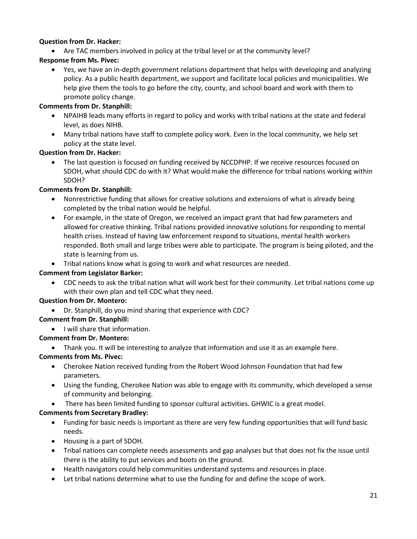#### **Question from Dr. Hacker:**

• Are TAC members involved in policy at the tribal level or at the community level?

### **Response from Ms. Pivec:**

• Yes, we have an in-depth government relations department that helps with developing and analyzing policy. As a public health department, we support and facilitate local policies and municipalities. We help give them the tools to go before the city, county, and school board and work with them to promote policy change.

#### **Comments from Dr. Stanphill:**

- NPAIHB leads many efforts in regard to policy and works with tribal nations at the state and federal level, as does NIHB.
- Many tribal nations have staff to complete policy work. Even in the local community, we help set policy at the state level.

#### **Question from Dr. Hacker:**

• The last question is focused on funding received by NCCDPHP. If we receive resources focused on SDOH, what should CDC do with it? What would make the difference for tribal nations working within SDOH?

### **Comments from Dr. Stanphill:**

- Nonrestrictive funding that allows for creative solutions and extensions of what is already being completed by the tribal nation would be helpful.
- For example, in the state of Oregon, we received an impact grant that had few parameters and allowed for creative thinking. Tribal nations provided innovative solutions for responding to mental health crises. Instead of having law enforcement respond to situations, mental health workers responded. Both small and large tribes were able to participate. The program is being piloted, and the state is learning from us.
- Tribal nations know what is going to work and what resources are needed.

#### **Comment from Legislator Barker:**

• CDC needs to ask the tribal nation what will work best for their community. Let tribal nations come up with their own plan and tell CDC what they need.

#### **Question from Dr. Montero:**

• Dr. Stanphill, do you mind sharing that experience with CDC?

### **Comment from Dr. Stanphill:**

• I will share that information.

### **Comment from Dr. Montero:**

• Thank you. It will be interesting to analyze that information and use it as an example here.

### **Comments from Ms. Pivec:**

- Cherokee Nation received funding from the Robert Wood Johnson Foundation that had few parameters.
- Using the funding, Cherokee Nation was able to engage with its community, which developed a sense of community and belonging.
- There has been limited funding to sponsor cultural activities. GHWIC is a great model.

### **Comments from Secretary Bradley:**

- Funding for basic needs is important as there are very few funding opportunities that will fund basic needs.
- Housing is a part of SDOH.
- Tribal nations can complete needs assessments and gap analyses but that does not fix the issue until there is the ability to put services and boots on the ground.
- Health navigators could help communities understand systems and resources in place.
- Let tribal nations determine what to use the funding for and define the scope of work.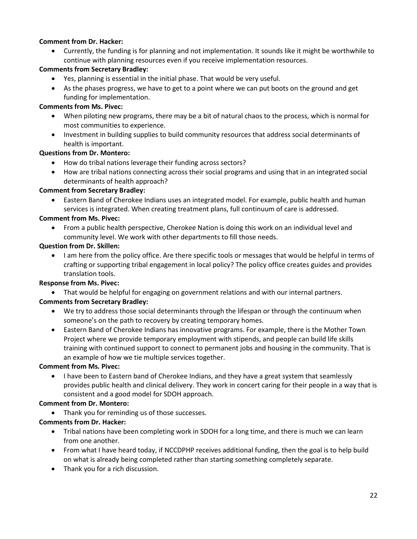#### **Comment from Dr. Hacker:**

• Currently, the funding is for planning and not implementation. It sounds like it might be worthwhile to continue with planning resources even if you receive implementation resources.

#### **Comments from Secretary Bradley:**

- Yes, planning is essential in the initial phase. That would be very useful.
- As the phases progress, we have to get to a point where we can put boots on the ground and get funding for implementation.

#### **Comments from Ms. Pivec:**

- When piloting new programs, there may be a bit of natural chaos to the process, which is normal for most communities to experience.
- Investment in building supplies to build community resources that address social determinants of health is important.

### **Questions from Dr. Montero:**

- How do tribal nations leverage their funding across sectors?
- How are tribal nations connecting across their social programs and using that in an integrated social determinants of health approach?

#### **Comment from Secretary Bradley:**

• Eastern Band of Cherokee Indians uses an integrated model. For example, public health and human services is integrated. When creating treatment plans, full continuum of care is addressed.

#### **Comment from Ms. Pivec:**

• From a public health perspective, Cherokee Nation is doing this work on an individual level and community level. We work with other departments to fill those needs.

#### **Question from Dr. Skillen:**

• I am here from the policy office. Are there specific tools or messages that would be helpful in terms of crafting or supporting tribal engagement in local policy? The policy office creates guides and provides translation tools.

### **Response from Ms. Pivec:**

• That would be helpful for engaging on government relations and with our internal partners.

### **Comments from Secretary Bradley:**

- We try to address those social determinants through the lifespan or through the continuum when someone's on the path to recovery by creating temporary homes.
- Eastern Band of Cherokee Indians has innovative programs. For example, there is the Mother Town Project where we provide temporary employment with stipends, and people can build life skills training with continued support to connect to permanent jobs and housing in the community. That is an example of how we tie multiple services together.

#### **Comment from Ms. Pivec:**

• I have been to Eastern band of Cherokee Indians, and they have a great system that seamlessly provides public health and clinical delivery. They work in concert caring for their people in a way that is consistent and a good model for SDOH approach.

### **Comment from Dr. Montero:**

• Thank you for reminding us of those successes.

### **Comments from Dr. Hacker:**

- Tribal nations have been completing work in SDOH for a long time, and there is much we can learn from one another.
- From what I have heard today, if NCCDPHP receives additional funding, then the goal is to help build on what is already being completed rather than starting something completely separate.
- Thank you for a rich discussion.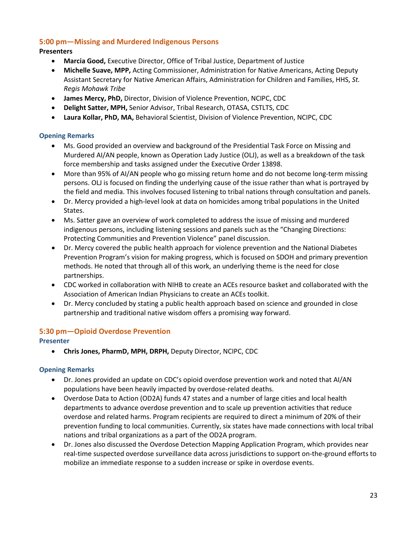# <span id="page-22-0"></span>**5:00 pm—Missing and Murdered Indigenous Persons**

### **Presenters**

- **Marcia Good,** Executive Director, Office of Tribal Justice, Department of Justice
- **Michelle Suave, MPP,** Acting Commissioner, Administration for Native Americans, Acting Deputy Assistant Secretary for Native American Affairs, Administration for Children and Families, HHS, *St. Regis Mohawk Tribe*
- **James Mercy, PhD,** Director, Division of Violence Prevention, NCIPC, CDC
- **Delight Satter, MPH,** Senior Advisor, Tribal Research, OTASA, CSTLTS, CDC
- **Laura Kollar, PhD, MA,** Behavioral Scientist, Division of Violence Prevention, NCIPC, CDC

### <span id="page-22-1"></span>**Opening Remarks**

- Ms. Good provided an overview and background of the Presidential Task Force on Missing and Murdered AI/AN people, known as Operation Lady Justice (OLJ), as well as a breakdown of the task force membership and tasks assigned under the Executive Order 13898.
- More than 95% of AI/AN people who go missing return home and do not become long-term missing persons. OLJ is focused on finding the underlying cause of the issue rather than what is portrayed by the field and media. This involves focused listening to tribal nations through consultation and panels.
- Dr. Mercy provided a high-level look at data on homicides among tribal populations in the United States.
- Ms. Satter gave an overview of work completed to address the issue of missing and murdered indigenous persons, including listening sessions and panels such as the "Changing Directions: Protecting Communities and Prevention Violence" panel discussion.
- Dr. Mercy covered the public health approach for violence prevention and the National Diabetes Prevention Program's vision for making progress, which is focused on SDOH and primary prevention methods. He noted that through all of this work, an underlying theme is the need for close partnerships.
- CDC worked in collaboration with NIHB to create an ACEs resource basket and collaborated with the Association of American Indian Physicians to create an ACEs toolkit.
- Dr. Mercy concluded by stating a public health approach based on science and grounded in close partnership and traditional native wisdom offers a promising way forward.

# <span id="page-22-2"></span>**5:30 pm—Opioid Overdose Prevention**

### <span id="page-22-3"></span>**Presenter**

• **Chris Jones, PharmD, MPH, DRPH,** Deputy Director, NCIPC, CDC

### <span id="page-22-4"></span>**Opening Remarks**

- Dr. Jones provided an update on CDC's opioid overdose prevention work and noted that AI/AN populations have been heavily impacted by overdose-related deaths.
- Overdose Data to Action (OD2A) funds 47 states and a number of large cities and local health departments to advance overdose prevention and to scale up prevention activities that reduce overdose and related harms. Program recipients are required to direct a minimum of 20% of their prevention funding to local communities. Currently, six states have made connections with local tribal nations and tribal organizations as a part of the OD2A program.
- Dr. Jones also discussed the Overdose Detection Mapping Application Program, which provides near real-time suspected overdose surveillance data across jurisdictions to support on-the-ground efforts to mobilize an immediate response to a sudden increase or spike in overdose events.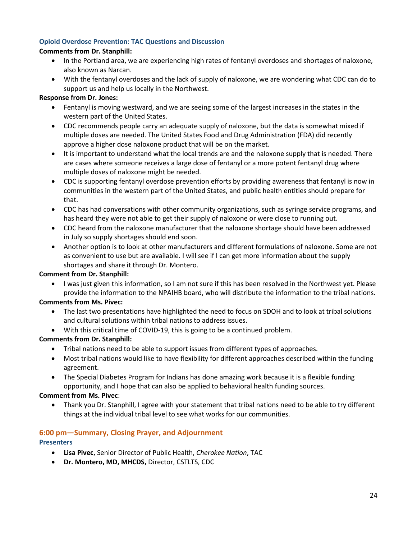### <span id="page-23-0"></span>**Opioid Overdose Prevention: TAC Questions and Discussion**

#### **Comments from Dr. Stanphill:**

- In the Portland area, we are experiencing high rates of fentanyl overdoses and shortages of naloxone, also known as Narcan.
- With the fentanyl overdoses and the lack of supply of naloxone, we are wondering what CDC can do to support us and help us locally in the Northwest.

#### **Response from Dr. Jones:**

- Fentanyl is moving westward, and we are seeing some of the largest increases in the states in the western part of the United States.
- CDC recommends people carry an adequate supply of naloxone, but the data is somewhat mixed if multiple doses are needed. The United States Food and Drug Administration (FDA) did recently approve a higher dose naloxone product that will be on the market.
- It is important to understand what the local trends are and the naloxone supply that is needed. There are cases where someone receives a large dose of fentanyl or a more potent fentanyl drug where multiple doses of naloxone might be needed.
- CDC is supporting fentanyl overdose prevention efforts by providing awareness that fentanyl is now in communities in the western part of the United States, and public health entities should prepare for that.
- CDC has had conversations with other community organizations, such as syringe service programs, and has heard they were not able to get their supply of naloxone or were close to running out.
- CDC heard from the naloxone manufacturer that the naloxone shortage should have been addressed in July so supply shortages should end soon.
- Another option is to look at other manufacturers and different formulations of naloxone. Some are not as convenient to use but are available. I will see if I can get more information about the supply shortages and share it through Dr. Montero.

### **Comment from Dr. Stanphill:**

• I was just given this information, so I am not sure if this has been resolved in the Northwest yet. Please provide the information to the NPAIHB board, who will distribute the information to the tribal nations.

### **Comments from Ms. Pivec:**

- The last two presentations have highlighted the need to focus on SDOH and to look at tribal solutions and cultural solutions within tribal nations to address issues.
- With this critical time of COVID-19, this is going to be a continued problem.

### **Comments from Dr. Stanphill:**

- Tribal nations need to be able to support issues from different types of approaches.
- Most tribal nations would like to have flexibility for different approaches described within the funding agreement.
- The Special Diabetes Program for Indians has done amazing work because it is a flexible funding opportunity, and I hope that can also be applied to behavioral health funding sources.

#### **Comment from Ms. Pivec**:

• Thank you Dr. Stanphill, I agree with your statement that tribal nations need to be able to try different things at the individual tribal level to see what works for our communities.

### <span id="page-23-1"></span>**6:00 pm—Summary, Closing Prayer, and Adjournment**

#### <span id="page-23-2"></span>**Presenters**

- **Lisa Pivec**, Senior Director of Public Health, *Cherokee Nation*, TAC
- **Dr. Montero, MD, MHCDS,** Director, CSTLTS, CDC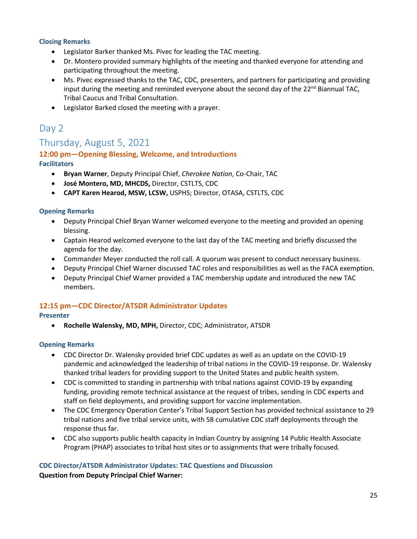#### <span id="page-24-0"></span>**Closing Remarks**

- Legislator Barker thanked Ms. Pivec for leading the TAC meeting.
- Dr. Montero provided summary highlights of the meeting and thanked everyone for attending and participating throughout the meeting.
- Ms. Pivec expressed thanks to the TAC, CDC, presenters, and partners for participating and providing input during the meeting and reminded everyone about the second day of the  $22^{nd}$  Biannual TAC, Tribal Caucus and Tribal Consultation.
- Legislator Barked closed the meeting with a prayer.

# <span id="page-24-1"></span>Day 2

# <span id="page-24-2"></span>Thursday, August 5, 2021

#### <span id="page-24-4"></span><span id="page-24-3"></span>**12:00 pm—Opening Blessing, Welcome, and Introductions Facilitators**

- **Bryan Warner**, Deputy Principal Chief, *Cherokee Nation*, Co-Chair, TAC
- **José Montero, MD, MHCDS,** Director, CSTLTS, CDC
- **CAPT Karen Hearod, MSW, LCSW,** USPHS; Director, OTASA, CSTLTS, CDC

#### <span id="page-24-5"></span>**Opening Remarks**

- Deputy Principal Chief Bryan Warner welcomed everyone to the meeting and provided an opening blessing.
- Captain Hearod welcomed everyone to the last day of the TAC meeting and briefly discussed the agenda for the day.
- Commander Meyer conducted the roll call. A quorum was present to conduct necessary business.
- Deputy Principal Chief Warner discussed TAC roles and responsibilities as well as the FACA exemption.
- Deputy Principal Chief Warner provided a TAC membership update and introduced the new TAC members.

### <span id="page-24-6"></span>**12:15 pm—CDC Director/ATSDR Administrator Updates**

#### <span id="page-24-7"></span>**Presenter**

• **Rochelle Walensky, MD, MPH,** Director, CDC; Administrator, ATSDR

#### <span id="page-24-8"></span>**Opening Remarks**

- CDC Director Dr. Walensky provided brief CDC updates as well as an update on the COVID-19 pandemic and acknowledged the leadership of tribal nations in the COVID-19 response. Dr. Walensky thanked tribal leaders for providing support to the United States and public health system.
- CDC is committed to standing in partnership with tribal nations against COVID-19 by expanding funding, providing remote technical assistance at the request of tribes, sending in CDC experts and staff on field deployments, and providing support for vaccine implementation.
- The CDC Emergency Operation Center's Tribal Support Section has provided technical assistance to 29 tribal nations and five tribal service units, with 58 cumulative CDC staff deployments through the response thus far.
- CDC also supports public health capacity in Indian Country by assigning 14 Public Health Associate Program (PHAP) associates to tribal host sites or to assignments that were tribally focused.

### <span id="page-24-9"></span>**CDC Director/ATSDR Administrator Updates: TAC Questions and Discussion Question from Deputy Principal Chief Warner:**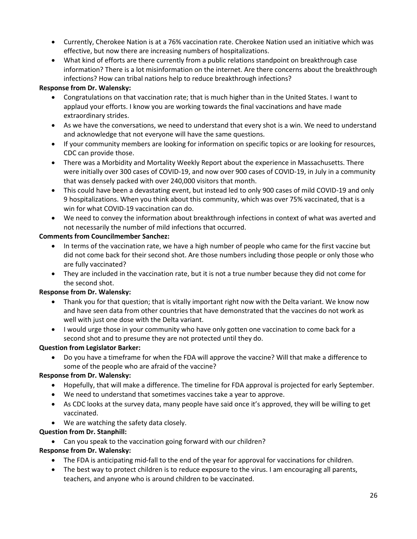- Currently, Cherokee Nation is at a 76% vaccination rate. Cherokee Nation used an initiative which was effective, but now there are increasing numbers of hospitalizations.
- What kind of efforts are there currently from a public relations standpoint on breakthrough case information? There is a lot misinformation on the internet. Are there concerns about the breakthrough infections? How can tribal nations help to reduce breakthrough infections?

### **Response from Dr. Walensky:**

- Congratulations on that vaccination rate; that is much higher than in the United States. I want to applaud your efforts. I know you are working towards the final vaccinations and have made extraordinary strides.
- As we have the conversations, we need to understand that every shot is a win. We need to understand and acknowledge that not everyone will have the same questions.
- If your community members are looking for information on specific topics or are looking for resources, CDC can provide those.
- There was a Morbidity and Mortality Weekly Report about the experience in Massachusetts. There were initially over 300 cases of COVID-19, and now over 900 cases of COVID-19, in July in a community that was densely packed with over 240,000 visitors that month.
- This could have been a devastating event, but instead led to only 900 cases of mild COVID-19 and only 9 hospitalizations. When you think about this community, which was over 75% vaccinated, that is a win for what COVID-19 vaccination can do.
- We need to convey the information about breakthrough infections in context of what was averted and not necessarily the number of mild infections that occurred.

# **Comments from Councilmember Sanchez:**

- In terms of the vaccination rate, we have a high number of people who came for the first vaccine but did not come back for their second shot. Are those numbers including those people or only those who are fully vaccinated?
- They are included in the vaccination rate, but it is not a true number because they did not come for the second shot.

# **Response from Dr. Walensky:**

- Thank you for that question; that is vitally important right now with the Delta variant. We know now and have seen data from other countries that have demonstrated that the vaccines do not work as well with just one dose with the Delta variant.
- I would urge those in your community who have only gotten one vaccination to come back for a second shot and to presume they are not protected until they do.

# **Question from Legislator Barker:**

• Do you have a timeframe for when the FDA will approve the vaccine? Will that make a difference to some of the people who are afraid of the vaccine?

# **Response from Dr. Walensky:**

- Hopefully, that will make a difference. The timeline for FDA approval is projected for early September.
- We need to understand that sometimes vaccines take a year to approve.
- As CDC looks at the survey data, many people have said once it's approved, they will be willing to get vaccinated.
- We are watching the safety data closely.

# **Question from Dr. Stanphill:**

• Can you speak to the vaccination going forward with our children?

### **Response from Dr. Walensky:**

- The FDA is anticipating mid-fall to the end of the year for approval for vaccinations for children.
- The best way to protect children is to reduce exposure to the virus. I am encouraging all parents, teachers, and anyone who is around children to be vaccinated.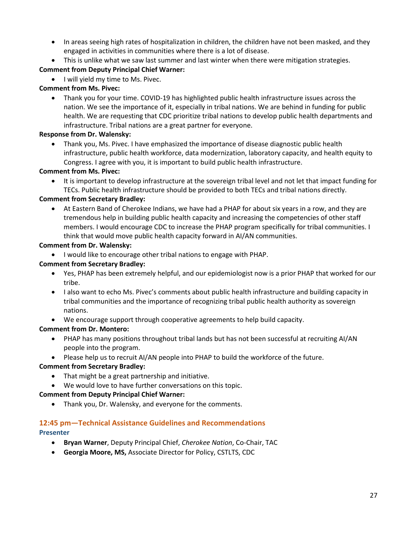- In areas seeing high rates of hospitalization in children, the children have not been masked, and they engaged in activities in communities where there is a lot of disease.
- This is unlike what we saw last summer and last winter when there were mitigation strategies.

# **Comment from Deputy Principal Chief Warner:**

• I will yield my time to Ms. Pivec.

# **Comment from Ms. Pivec:**

• Thank you for your time. COVID-19 has highlighted public health infrastructure issues across the nation. We see the importance of it, especially in tribal nations. We are behind in funding for public health. We are requesting that CDC prioritize tribal nations to develop public health departments and infrastructure. Tribal nations are a great partner for everyone.

### **Response from Dr. Walensky:**

• Thank you, Ms. Pivec. I have emphasized the importance of disease diagnostic public health infrastructure, public health workforce, data modernization, laboratory capacity, and health equity to Congress. I agree with you, it is important to build public health infrastructure.

# **Comment from Ms. Pivec:**

• It is important to develop infrastructure at the sovereign tribal level and not let that impact funding for TECs. Public health infrastructure should be provided to both TECs and tribal nations directly.

# **Comment from Secretary Bradley:**

• At Eastern Band of Cherokee Indians, we have had a PHAP for about six years in a row, and they are tremendous help in building public health capacity and increasing the competencies of other staff members. I would encourage CDC to increase the PHAP program specifically for tribal communities. I think that would move public health capacity forward in AI/AN communities.

### **Comment from Dr. Walensky:**

• I would like to encourage other tribal nations to engage with PHAP.

# **Comment from Secretary Bradley:**

- Yes, PHAP has been extremely helpful, and our epidemiologist now is a prior PHAP that worked for our tribe.
- I also want to echo Ms. Pivec's comments about public health infrastructure and building capacity in tribal communities and the importance of recognizing tribal public health authority as sovereign nations.
- We encourage support through cooperative agreements to help build capacity.

# **Comment from Dr. Montero:**

- PHAP has many positions throughout tribal lands but has not been successful at recruiting AI/AN people into the program.
- Please help us to recruit AI/AN people into PHAP to build the workforce of the future.

# **Comment from Secretary Bradley:**

- That might be a great partnership and initiative.
- We would love to have further conversations on this topic.

### **Comment from Deputy Principal Chief Warner:**

• Thank you, Dr. Walensky, and everyone for the comments.

# <span id="page-26-0"></span>**12:45 pm—Technical Assistance Guidelines and Recommendations**

# <span id="page-26-1"></span>**Presenter**

- **Bryan Warner**, Deputy Principal Chief, *Cherokee Nation*, Co-Chair, TAC
- **Georgia Moore, MS,** Associate Director for Policy, CSTLTS, CDC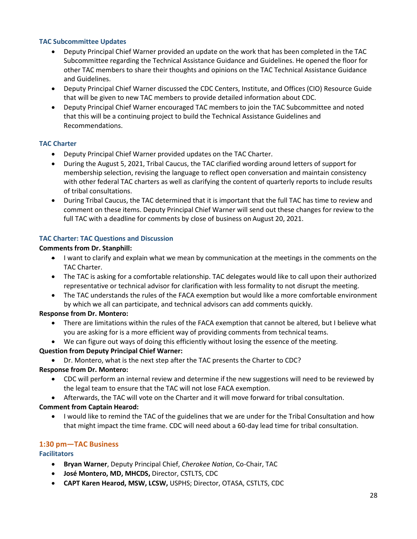#### <span id="page-27-0"></span>**TAC Subcommittee Updates**

- Deputy Principal Chief Warner provided an update on the work that has been completed in the TAC Subcommittee regarding the Technical Assistance Guidance and Guidelines. He opened the floor for other TAC members to share their thoughts and opinions on the TAC Technical Assistance Guidance and Guidelines.
- Deputy Principal Chief Warner discussed the CDC Centers, Institute, and Offices (CIO) Resource Guide that will be given to new TAC members to provide detailed information about CDC.
- Deputy Principal Chief Warner encouraged TAC members to join the TAC Subcommittee and noted that this will be a continuing project to build the Technical Assistance Guidelines and Recommendations.

#### <span id="page-27-1"></span>**TAC Charter**

- Deputy Principal Chief Warner provided updates on the TAC Charter.
- During the August 5, 2021, Tribal Caucus, the TAC clarified wording around letters of support for membership selection, revising the language to reflect open conversation and maintain consistency with other federal TAC charters as well as clarifying the content of quarterly reports to include results of tribal consultations.
- During Tribal Caucus, the TAC determined that it is important that the full TAC has time to review and comment on these items. Deputy Principal Chief Warner will send out these changes for review to the full TAC with a deadline for comments by close of business on August 20, 2021.

#### <span id="page-27-2"></span>**TAC Charter: TAC Questions and Discussion**

#### **Comments from Dr. Stanphill:**

- I want to clarify and explain what we mean by communication at the meetings in the comments on the TAC Charter.
- The TAC is asking for a comfortable relationship. TAC delegates would like to call upon their authorized representative or technical advisor for clarification with less formality to not disrupt the meeting.
- The TAC understands the rules of the FACA exemption but would like a more comfortable environment by which we all can participate, and technical advisors can add comments quickly.

### **Response from Dr. Montero:**

- There are limitations within the rules of the FACA exemption that cannot be altered, but I believe what you are asking for is a more efficient way of providing comments from technical teams.
- We can figure out ways of doing this efficiently without losing the essence of the meeting.

### **Question from Deputy Principal Chief Warner:**

• Dr. Montero, what is the next step after the TAC presents the Charter to CDC?

### **Response from Dr. Montero:**

- CDC will perform an internal review and determine if the new suggestions will need to be reviewed by the legal team to ensure that the TAC will not lose FACA exemption.
- Afterwards, the TAC will vote on the Charter and it will move forward for tribal consultation.

#### **Comment from Captain Hearod:**

• I would like to remind the TAC of the guidelines that we are under for the Tribal Consultation and how that might impact the time frame. CDC will need about a 60-day lead time for tribal consultation.

### <span id="page-27-3"></span>**1:30 pm—TAC Business**

#### <span id="page-27-4"></span>**Facilitators**

- **Bryan Warner**, Deputy Principal Chief, *Cherokee Nation*, Co-Chair, TAC
- **José Montero, MD, MHCDS,** Director, CSTLTS, CDC
- **CAPT Karen Hearod, MSW, LCSW,** USPHS; Director, OTASA, CSTLTS, CDC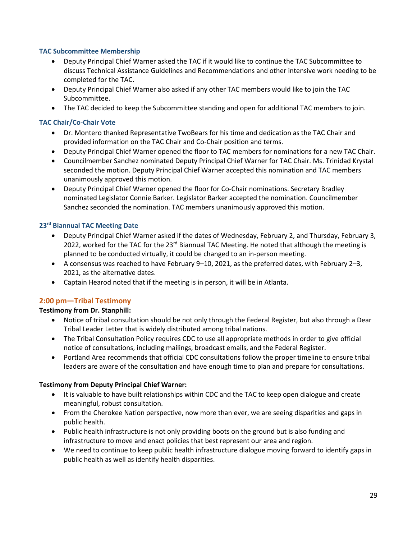#### <span id="page-28-0"></span>**TAC Subcommittee Membership**

- Deputy Principal Chief Warner asked the TAC if it would like to continue the TAC Subcommittee to discuss Technical Assistance Guidelines and Recommendations and other intensive work needing to be completed for the TAC.
- Deputy Principal Chief Warner also asked if any other TAC members would like to join the TAC Subcommittee.
- The TAC decided to keep the Subcommittee standing and open for additional TAC members to join.

#### <span id="page-28-1"></span>**TAC Chair/Co-Chair Vote**

- Dr. Montero thanked Representative TwoBears for his time and dedication as the TAC Chair and provided information on the TAC Chair and Co-Chair position and terms.
- Deputy Principal Chief Warner opened the floor to TAC members for nominations for a new TAC Chair.
- Councilmember Sanchez nominated Deputy Principal Chief Warner for TAC Chair. Ms. Trinidad Krystal seconded the motion. Deputy Principal Chief Warner accepted this nomination and TAC members unanimously approved this motion.
- Deputy Principal Chief Warner opened the floor for Co-Chair nominations. Secretary Bradley nominated Legislator Connie Barker. Legislator Barker accepted the nomination. Councilmember Sanchez seconded the nomination. TAC members unanimously approved this motion.

#### <span id="page-28-2"></span>**23rd Biannual TAC Meeting Date**

- Deputy Principal Chief Warner asked if the dates of Wednesday, February 2, and Thursday, February 3, 2022, worked for the TAC for the  $23<sup>rd</sup>$  Biannual TAC Meeting. He noted that although the meeting is planned to be conducted virtually, it could be changed to an in-person meeting.
- A consensus was reached to have February 9–10, 2021, as the preferred dates, with February 2–3, 2021, as the alternative dates.
- Captain Hearod noted that if the meeting is in person, it will be in Atlanta.

# <span id="page-28-3"></span>**2:00 pm—Tribal Testimony**

### **Testimony from Dr. Stanphill:**

- Notice of tribal consultation should be not only through the Federal Register, but also through a Dear Tribal Leader Letter that is widely distributed among tribal nations.
- The Tribal Consultation Policy requires CDC to use all appropriate methods in order to give official notice of consultations, including mailings, broadcast emails, and the Federal Register.
- Portland Area recommends that official CDC consultations follow the proper timeline to ensure tribal leaders are aware of the consultation and have enough time to plan and prepare for consultations.

#### **Testimony from Deputy Principal Chief Warner:**

- It is valuable to have built relationships within CDC and the TAC to keep open dialogue and create meaningful, robust consultation.
- From the Cherokee Nation perspective, now more than ever, we are seeing disparities and gaps in public health.
- Public health infrastructure is not only providing boots on the ground but is also funding and infrastructure to move and enact policies that best represent our area and region.
- We need to continue to keep public health infrastructure dialogue moving forward to identify gaps in public health as well as identify health disparities.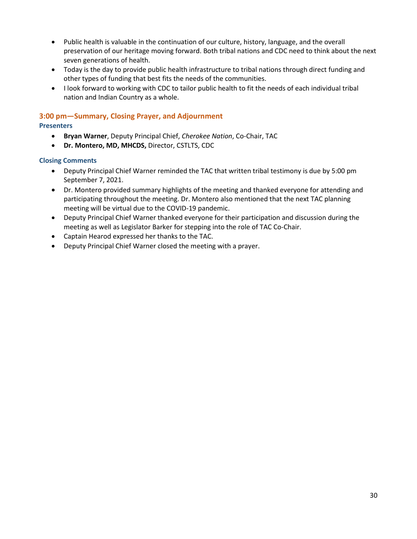- Public health is valuable in the continuation of our culture, history, language, and the overall preservation of our heritage moving forward. Both tribal nations and CDC need to think about the next seven generations of health.
- Today is the day to provide public health infrastructure to tribal nations through direct funding and other types of funding that best fits the needs of the communities.
- I look forward to working with CDC to tailor public health to fit the needs of each individual tribal nation and Indian Country as a whole.

### <span id="page-29-0"></span>**3:00 pm—Summary, Closing Prayer, and Adjournment**

#### <span id="page-29-1"></span>**Presenters**

- **Bryan Warner**, Deputy Principal Chief, *Cherokee Nation*, Co-Chair, TAC
- **Dr. Montero, MD, MHCDS,** Director, CSTLTS, CDC

#### <span id="page-29-2"></span>**Closing Comments**

- Deputy Principal Chief Warner reminded the TAC that written tribal testimony is due by 5:00 pm September 7, 2021.
- Dr. Montero provided summary highlights of the meeting and thanked everyone for attending and participating throughout the meeting. Dr. Montero also mentioned that the next TAC planning meeting will be virtual due to the COVID-19 pandemic.
- Deputy Principal Chief Warner thanked everyone for their participation and discussion during the meeting as well as Legislator Barker for stepping into the role of TAC Co-Chair.
- Captain Hearod expressed her thanks to the TAC.
- Deputy Principal Chief Warner closed the meeting with a prayer.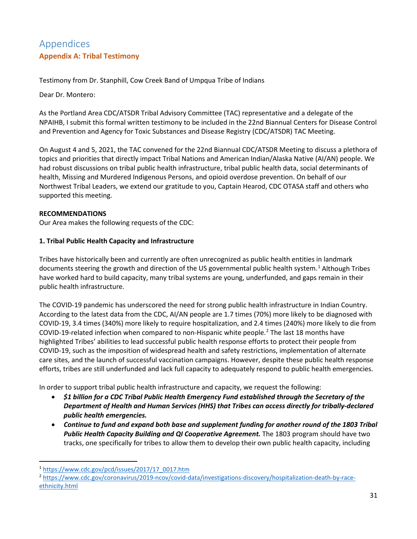# <span id="page-30-1"></span><span id="page-30-0"></span>Appendices **Appendix A: Tribal Testimony**

Testimony from Dr. Stanphill, Cow Creek Band of Umpqua Tribe of Indians

Dear Dr. Montero:

As the Portland Area CDC/ATSDR Tribal Advisory Committee (TAC) representative and a delegate of the NPAIHB, I submit this formal written testimony to be included in the 22nd Biannual Centers for Disease Control and Prevention and Agency for Toxic Substances and Disease Registry (CDC/ATSDR) TAC Meeting.

On August 4 and 5, 2021, the TAC convened for the 22nd Biannual CDC/ATSDR Meeting to discuss a plethora of topics and priorities that directly impact Tribal Nations and American Indian/Alaska Native (AI/AN) people. We had robust discussions on tribal public health infrastructure, tribal public health data, social determinants of health, Missing and Murdered Indigenous Persons, and opioid overdose prevention. On behalf of our Northwest Tribal Leaders, we extend our gratitude to you, Captain Hearod, CDC OTASA staff and others who supported this meeting.

### **RECOMMENDATIONS**

Our Area makes the following requests of the CDC:

#### **1. Tribal Public Health Capacity and Infrastructure**

Tribes have historically been and currently are often unrecognized as public health entities in landmark documents steering the growth and direction of the US governmental public health system.<sup>[1](#page-30-2)</sup> Although Tribes have worked hard to build capacity, many tribal systems are young, underfunded, and gaps remain in their public health infrastructure.

The COVID-19 pandemic has underscored the need for strong public health infrastructure in Indian Country. According to the latest data from the CDC, AI/AN people are 1.7 times (70%) more likely to be diagnosed with COVID-19, 3.4 times (340%) more likely to require hospitalization, and 2.4 times (240%) more likely to die from COVID-19-related infection when compared to non-Hispanic white people.[2](#page-30-3) The last 18 months have highlighted Tribes' abilities to lead successful public health response efforts to protect their people from COVID-19, such as the imposition of widespread health and safety restrictions, implementation of alternate care sites, and the launch of successful vaccination campaigns. However, despite these public health response efforts, tribes are still underfunded and lack full capacity to adequately respond to public health emergencies.

In order to support tribal public health infrastructure and capacity, we request the following:

- *\$1 billion for a CDC Tribal Public Health Emergency Fund established through the Secretary of the Department of Health and Human Services (HHS) that Tribes can access directly for tribally-declared public health emergencies.*
- *Continue to fund and expand both base and supplement funding for another round of the 1803 Tribal*  Public Health Capacity Building and QI Cooperative Agreement. The 1803 program should have two tracks, one specifically for tribes to allow them to develop their own public health capacity, including

<span id="page-30-2"></span><sup>1</sup> [https://www.cdc.gov/pcd/issues/2017/17\\_0017.htm](https://www.cdc.gov/pcd/issues/2017/17_0017.htm)

<span id="page-30-3"></span><sup>2</sup> [https://www.cdc.gov/coronavirus/2019-ncov/covid-data/investigations-discovery/hospitalization-death-by-race](https://www.cdc.gov/coronavirus/2019-ncov/covid-data/investigations-discovery/hospitalization-death-by-race-ethnicity.html)[ethnicity.html](https://www.cdc.gov/coronavirus/2019-ncov/covid-data/investigations-discovery/hospitalization-death-by-race-ethnicity.html)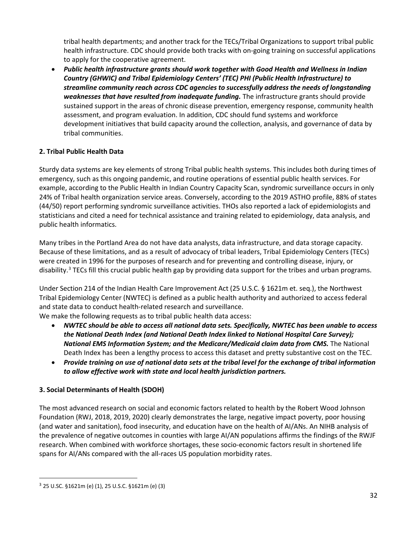tribal health departments; and another track for the TECs/Tribal Organizations to support tribal public health infrastructure. CDC should provide both tracks with on-going training on successful applications to apply for the cooperative agreement.

• *Public health infrastructure grants should work together with Good Health and Wellness in Indian Country (GHWIC) and Tribal Epidemiology Centers' (TEC) PHI (Public Health Infrastructure) to streamline community reach across CDC agencies to successfully address the needs of longstanding*  weaknesses that have resulted from inadequate funding. The infrastructure grants should provide sustained support in the areas of chronic disease prevention, emergency response, community health assessment, and program evaluation. In addition, CDC should fund systems and workforce development initiatives that build capacity around the collection, analysis, and governance of data by tribal communities.

### **2. Tribal Public Health Data**

Sturdy data systems are key elements of strong Tribal public health systems. This includes both during times of emergency, such as this ongoing pandemic, and routine operations of essential public health services. For example, according to the Public Health in Indian Country Capacity Scan, syndromic surveillance occurs in only 24% of Tribal health organization service areas. Conversely, according to the 2019 ASTHO profile, 88% of states (44/50) report performing syndromic surveillance activities. THOs also reported a lack of epidemiologists and statisticians and cited a need for technical assistance and training related to epidemiology, data analysis, and public health informatics.

Many tribes in the Portland Area do not have data analysts, data infrastructure, and data storage capacity. Because of these limitations, and as a result of advocacy of tribal leaders, Tribal Epidemiology Centers (TECs) were created in 1996 for the purposes of research and for preventing and controlling disease, injury, or disability.<sup>[3](#page-31-0)</sup> TECs fill this crucial public health gap by providing data support for the tribes and urban programs.

Under Section 214 of the Indian Health Care Improvement Act (25 U.S.C. § 1621m et. seq.), the Northwest Tribal Epidemiology Center (NWTEC) is defined as a public health authority and authorized to access federal and state data to conduct health-related research and surveillance.

We make the following requests as to tribal public health data access:

- *NWTEC should be able to access all national data sets. Specifically, NWTEC has been unable to access the National Death Index (and National Death Index linked to National Hospital Care Survey);*  National EMS Information System; and the Medicare/Medicaid claim data from CMS. The National Death Index has been a lengthy process to access this dataset and pretty substantive cost on the TEC.
- *Provide training on use of national data sets at the tribal level for the exchange of tribal information to allow effective work with state and local health jurisdiction partners.*

# **3. Social Determinants of Health (SDOH)**

The most advanced research on social and economic factors related to health by the Robert Wood Johnson Foundation (RWJ, 2018, 2019, 2020) clearly demonstrates the large, negative impact poverty, poor housing (and water and sanitation), food insecurity, and education have on the health of AI/ANs. An NIHB analysis of the prevalence of negative outcomes in counties with large AI/AN populations affirms the findings of the RWJF research. When combined with workforce shortages, these socio-economic factors result in shortened life spans for AI/ANs compared with the all-races US population morbidity rates.

<span id="page-31-0"></span><sup>3</sup> 25 U.SC. §1621m (e) (1), 25 U.S.C. §1621m (e) (3)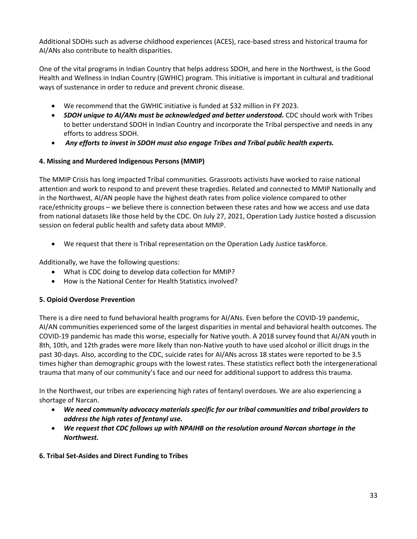Additional SDOHs such as adverse childhood experiences (ACES), race-based stress and historical trauma for AI/ANs also contribute to health disparities.

One of the vital programs in Indian Country that helps address SDOH, and here in the Northwest, is the Good Health and Wellness in Indian Country (GWHIC) program. This initiative is important in cultural and traditional ways of sustenance in order to reduce and prevent chronic disease.

- We recommend that the GWHIC initiative is funded at \$32 million in FY 2023.
- **SDOH unique to AI/ANs must be acknowledged and better understood.** CDC should work with Tribes to better understand SDOH in Indian Country and incorporate the Tribal perspective and needs in any efforts to address SDOH.
- *Any efforts to invest in SDOH must also engage Tribes and Tribal public health experts.*

# **4. Missing and Murdered Indigenous Persons (MMIP)**

The MMIP Crisis has long impacted Tribal communities. Grassroots activists have worked to raise national attention and work to respond to and prevent these tragedies. Related and connected to MMIP Nationally and in the Northwest, AI/AN people have the highest death rates from police violence compared to other race/ethnicity groups – we believe there is connection between these rates and how we access and use data from national datasets like those held by the CDC. On July 27, 2021, Operation Lady Justice hosted a discussion session on federal public health and safety data about MMIP.

• We request that there is Tribal representation on the Operation Lady Justice taskforce.

Additionally, we have the following questions:

- What is CDC doing to develop data collection for MMIP?
- How is the National Center for Health Statistics involved?

### **5. Opioid Overdose Prevention**

There is a dire need to fund behavioral health programs for AI/ANs. Even before the COVID-19 pandemic, AI/AN communities experienced some of the largest disparities in mental and behavioral health outcomes. The COVID-19 pandemic has made this worse, especially for Native youth. A 2018 survey found that AI/AN youth in 8th, 10th, and 12th grades were more likely than non-Native youth to have used alcohol or illicit drugs in the past 30-days. Also, according to the CDC, suicide rates for AI/ANs across 18 states were reported to be 3.5 times higher than demographic groups with the lowest rates. These statistics reflect both the intergenerational trauma that many of our community's face and our need for additional support to address this trauma.

In the Northwest, our tribes are experiencing high rates of fentanyl overdoses. We are also experiencing a shortage of Narcan.

- *We need community advocacy materials specific for our tribal communities and tribal providers to address the high rates of fentanyl use.*
- *We request that CDC follows up with NPAIHB on the resolution around Narcan shortage in the Northwest.*
- **6. Tribal Set-Asides and Direct Funding to Tribes**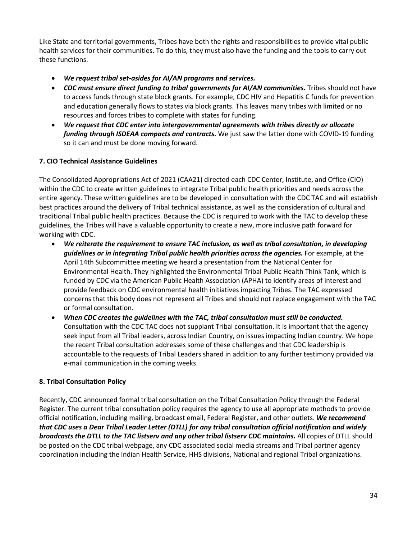Like State and territorial governments, Tribes have both the rights and responsibilities to provide vital public health services for their communities. To do this, they must also have the funding and the tools to carry out these functions.

- *We request tribal set-asides for AI/AN programs and services.*
- CDC must ensure direct funding to tribal governments for AI/AN communities. Tribes should not have to access funds through state block grants. For example, CDC HIV and Hepatitis C funds for prevention and education generally flows to states via block grants. This leaves many tribes with limited or no resources and forces tribes to complete with states for funding.
- *We request that CDC enter into intergovernmental agreements with tribes directly or allocate funding through ISDEAA compacts and contracts.* We just saw the latter done with COVID-19 funding so it can and must be done moving forward.

# **7. CIO Technical Assistance Guidelines**

The Consolidated Appropriations Act of 2021 (CAA21) directed each CDC Center, Institute, and Office (CIO) within the CDC to create written guidelines to integrate Tribal public health priorities and needs across the entire agency. These written guidelines are to be developed in consultation with the CDC TAC and will establish best practices around the delivery of Tribal technical assistance, as well as the consideration of cultural and traditional Tribal public health practices. Because the CDC is required to work with the TAC to develop these guidelines, the Tribes will have a valuable opportunity to create a new, more inclusive path forward for working with CDC.

- *We reiterate the requirement to ensure TAC inclusion, as well as tribal consultation, in developing guidelines or in integrating Tribal public health priorities across the agencies.* For example, at the April 14th Subcommittee meeting we heard a presentation from the National Center for Environmental Health. They highlighted the Environmental Tribal Public Health Think Tank, which is funded by CDC via the American Public Health Association (APHA) to identify areas of interest and provide feedback on CDC environmental health initiatives impacting Tribes. The TAC expressed concerns that this body does not represent all Tribes and should not replace engagement with the TAC or formal consultation.
- *When CDC creates the guidelines with the TAC, tribal consultation must still be conducted.*  Consultation with the CDC TAC does not supplant Tribal consultation. It is important that the agency seek input from all Tribal leaders, across Indian Country, on issues impacting Indian country. We hope the recent Tribal consultation addresses some of these challenges and that CDC leadership is accountable to the requests of Tribal Leaders shared in addition to any further testimony provided via e-mail communication in the coming weeks.

### **8. Tribal Consultation Policy**

Recently, CDC announced formal tribal consultation on the Tribal Consultation Policy through the Federal Register. The current tribal consultation policy requires the agency to use all appropriate methods to provide official notification, including mailing, broadcast email, Federal Register, and other outlets. *We recommend that CDC uses a Dear Tribal Leader Letter (DTLL) for any tribal consultation official notification and widely broadcasts the DTLL to the TAC listserv and any other tribal listserv CDC maintains.* All copies of DTLL should be posted on the CDC tribal webpage, any CDC associated social media streams and Tribal partner agency coordination including the Indian Health Service, HHS divisions, National and regional Tribal organizations.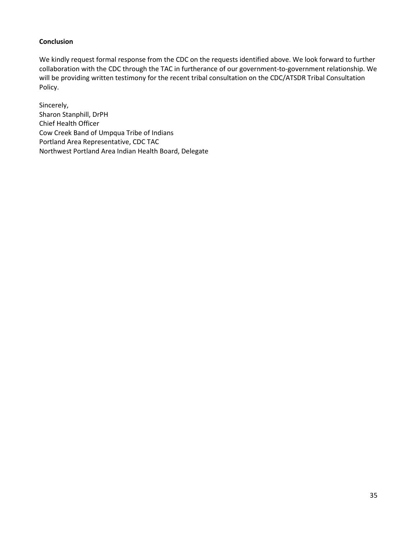### **Conclusion**

We kindly request formal response from the CDC on the requests identified above. We look forward to further collaboration with the CDC through the TAC in furtherance of our government-to-government relationship. We will be providing written testimony for the recent tribal consultation on the CDC/ATSDR Tribal Consultation Policy.

Sincerely, Sharon Stanphill, DrPH Chief Health Officer Cow Creek Band of Umpqua Tribe of Indians Portland Area Representative, CDC TAC Northwest Portland Area Indian Health Board, Delegate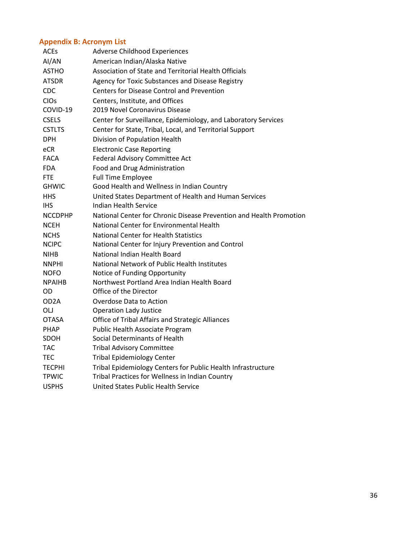# <span id="page-35-0"></span>**Appendix B: Acronym List**

| ACEs           | <b>Adverse Childhood Experiences</b>                                |
|----------------|---------------------------------------------------------------------|
| AI/AN          | American Indian/Alaska Native                                       |
| <b>ASTHO</b>   | Association of State and Territorial Health Officials               |
| <b>ATSDR</b>   | Agency for Toxic Substances and Disease Registry                    |
| <b>CDC</b>     | <b>Centers for Disease Control and Prevention</b>                   |
| CIOs           | Centers, Institute, and Offices                                     |
| COVID-19       | 2019 Novel Coronavirus Disease                                      |
| <b>CSELS</b>   | Center for Surveillance, Epidemiology, and Laboratory Services      |
| <b>CSTLTS</b>  | Center for State, Tribal, Local, and Territorial Support            |
| <b>DPH</b>     | Division of Population Health                                       |
| eCR            | <b>Electronic Case Reporting</b>                                    |
| FACA           | Federal Advisory Committee Act                                      |
| <b>FDA</b>     | Food and Drug Administration                                        |
| <b>FTE</b>     | <b>Full Time Employee</b>                                           |
| <b>GHWIC</b>   | Good Health and Wellness in Indian Country                          |
| <b>HHS</b>     | United States Department of Health and Human Services               |
| <b>IHS</b>     | Indian Health Service                                               |
| <b>NCCDPHP</b> | National Center for Chronic Disease Prevention and Health Promotion |
| <b>NCEH</b>    | National Center for Environmental Health                            |
| <b>NCHS</b>    | <b>National Center for Health Statistics</b>                        |
| <b>NCIPC</b>   | National Center for Injury Prevention and Control                   |
| <b>NIHB</b>    | National Indian Health Board                                        |
| <b>NNPHI</b>   | National Network of Public Health Institutes                        |
| <b>NOFO</b>    | Notice of Funding Opportunity                                       |
| <b>NPAIHB</b>  | Northwest Portland Area Indian Health Board                         |
| OD             | Office of the Director                                              |
| OD2A           | Overdose Data to Action                                             |
| OLJ            | <b>Operation Lady Justice</b>                                       |
| OTASA          | <b>Office of Tribal Affairs and Strategic Alliances</b>             |
| <b>PHAP</b>    | Public Health Associate Program                                     |
| <b>SDOH</b>    | Social Determinants of Health                                       |
| TAC            | <b>Tribal Advisory Committee</b>                                    |
| <b>TEC</b>     | <b>Tribal Epidemiology Center</b>                                   |
| <b>TECPHI</b>  | Tribal Epidemiology Centers for Public Health Infrastructure        |
| <b>TPWIC</b>   | Tribal Practices for Wellness in Indian Country                     |
| <b>USPHS</b>   | United States Public Health Service                                 |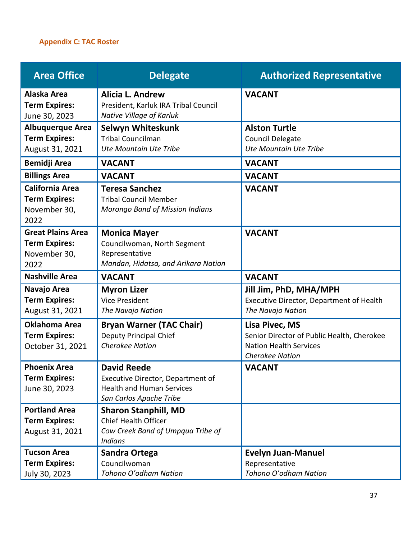# <span id="page-36-0"></span>**Appendix C: TAC Roster**

| <b>Area Office</b>                                                       | <b>Delegate</b>                                                                                                        | <b>Authorized Representative</b>                                                                                        |
|--------------------------------------------------------------------------|------------------------------------------------------------------------------------------------------------------------|-------------------------------------------------------------------------------------------------------------------------|
| Alaska Area<br><b>Term Expires:</b><br>June 30, 2023                     | <b>Alicia L. Andrew</b><br>President, Karluk IRA Tribal Council<br>Native Village of Karluk                            | <b>VACANT</b>                                                                                                           |
| <b>Albuquerque Area</b><br><b>Term Expires:</b><br>August 31, 2021       | Selwyn Whiteskunk<br><b>Tribal Councilman</b><br>Ute Mountain Ute Tribe                                                | <b>Alston Turtle</b><br><b>Council Delegate</b><br>Ute Mountain Ute Tribe                                               |
| <b>Bemidji Area</b>                                                      | <b>VACANT</b>                                                                                                          | <b>VACANT</b>                                                                                                           |
| <b>Billings Area</b>                                                     | <b>VACANT</b>                                                                                                          | <b>VACANT</b>                                                                                                           |
| <b>California Area</b><br><b>Term Expires:</b><br>November 30,<br>2022   | <b>Teresa Sanchez</b><br><b>Tribal Council Member</b><br><b>Morongo Band of Mission Indians</b>                        | <b>VACANT</b>                                                                                                           |
| <b>Great Plains Area</b><br><b>Term Expires:</b><br>November 30,<br>2022 | <b>Monica Mayer</b><br>Councilwoman, North Segment<br>Representative<br>Mandan, Hidatsa, and Arikara Nation            | <b>VACANT</b>                                                                                                           |
| <b>Nashville Area</b>                                                    | <b>VACANT</b>                                                                                                          | <b>VACANT</b>                                                                                                           |
| Navajo Area<br><b>Term Expires:</b><br>August 31, 2021                   | <b>Myron Lizer</b><br><b>Vice President</b><br>The Navajo Nation                                                       | Jill Jim, PhD, MHA/MPH<br>Executive Director, Department of Health<br>The Navajo Nation                                 |
| <b>Oklahoma Area</b><br><b>Term Expires:</b><br>October 31, 2021         | <b>Bryan Warner (TAC Chair)</b><br><b>Deputy Principal Chief</b><br><b>Cherokee Nation</b>                             | Lisa Pivec, MS<br>Senior Director of Public Health, Cherokee<br><b>Nation Health Services</b><br><b>Cherokee Nation</b> |
| <b>Phoenix Area</b><br><b>Term Expires:</b><br>June 30, 2023             | <b>David Reede</b><br>Executive Director, Department of<br><b>Health and Human Services</b><br>San Carlos Apache Tribe | <b>VACANT</b>                                                                                                           |
| <b>Portland Area</b><br><b>Term Expires:</b><br>August 31, 2021          | <b>Sharon Stanphill, MD</b><br><b>Chief Health Officer</b><br>Cow Creek Band of Umpqua Tribe of<br><b>Indians</b>      |                                                                                                                         |
| <b>Tucson Area</b><br><b>Term Expires:</b><br>July 30, 2023              | <b>Sandra Ortega</b><br>Councilwoman<br>Tohono O'odham Nation                                                          | <b>Evelyn Juan-Manuel</b><br>Representative<br>Tohono O'odham Nation                                                    |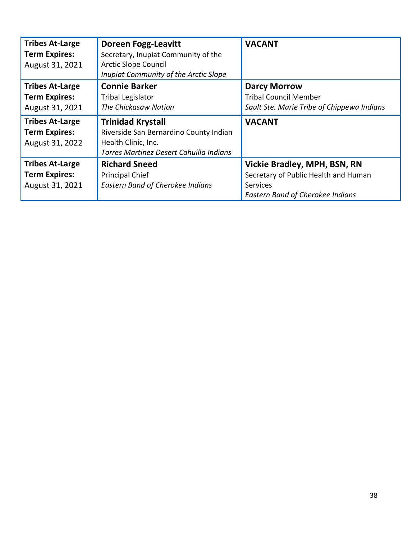| <b>Tribes At-Large</b><br><b>Term Expires:</b><br>August 31, 2021 | <b>Doreen Fogg-Leavitt</b><br>Secretary, Inupiat Community of the<br><b>Arctic Slope Council</b><br>Inupiat Community of the Arctic Slope | <b>VACANT</b>                              |
|-------------------------------------------------------------------|-------------------------------------------------------------------------------------------------------------------------------------------|--------------------------------------------|
| <b>Tribes At-Large</b>                                            | <b>Connie Barker</b>                                                                                                                      | <b>Darcy Morrow</b>                        |
| <b>Term Expires:</b>                                              | <b>Tribal Legislator</b>                                                                                                                  | <b>Tribal Council Member</b>               |
| August 31, 2021                                                   | The Chickasaw Nation                                                                                                                      | Sault Ste. Marie Tribe of Chippewa Indians |
| <b>Tribes At-Large</b>                                            | <b>Trinidad Krystall</b>                                                                                                                  | <b>VACANT</b>                              |
| <b>Term Expires:</b>                                              | Riverside San Bernardino County Indian                                                                                                    |                                            |
| August 31, 2022                                                   | Health Clinic, Inc.                                                                                                                       |                                            |
|                                                                   | Torres Martinez Desert Cahuilla Indians                                                                                                   |                                            |
| <b>Tribes At-Large</b>                                            | <b>Richard Sneed</b>                                                                                                                      | Vickie Bradley, MPH, BSN, RN               |
| <b>Term Expires:</b>                                              | <b>Principal Chief</b>                                                                                                                    | Secretary of Public Health and Human       |
| August 31, 2021                                                   | <b>Eastern Band of Cherokee Indians</b>                                                                                                   | <b>Services</b>                            |
|                                                                   |                                                                                                                                           | <b>Eastern Band of Cherokee Indians</b>    |